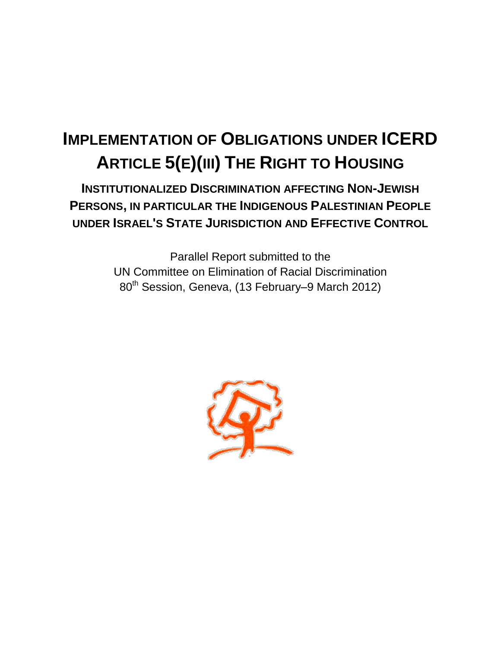# **IMPLEMENTATION OF OBLIGATIONS UNDER ICERD ARTICLE 5(E)(III) THE RIGHT TO HOUSING**

**INSTITUTIONALIZED DISCRIMINATION AFFECTING NON-JEWISH PERSONS, IN PARTICULAR THE INDIGENOUS PALESTINIAN PEOPLE UNDER ISRAEL'S STATE JURISDICTION AND EFFECTIVE CONTROL**

> Parallel Report submitted to the UN Committee on Elimination of Racial Discrimination 80<sup>th</sup> Session, Geneva, (13 February–9 March 2012)

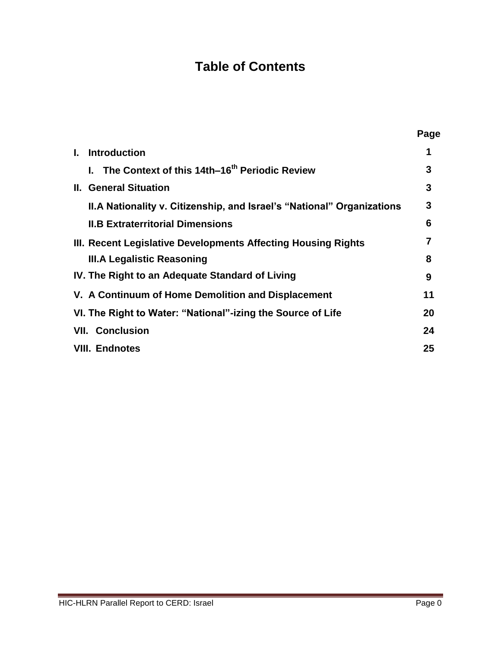# **Table of Contents**

|                                                                        | Page |
|------------------------------------------------------------------------|------|
| <b>Introduction</b>                                                    |      |
| I. The Context of this 14th–16 <sup>th</sup> Periodic Review           | 3    |
| <b>II. General Situation</b>                                           | 3    |
| II.A Nationality v. Citizenship, and Israel's "National" Organizations | 3    |
| <b>II.B Extraterritorial Dimensions</b>                                | 6    |
| III. Recent Legislative Developments Affecting Housing Rights          |      |
| <b>III.A Legalistic Reasoning</b>                                      | 8    |
| IV. The Right to an Adequate Standard of Living                        | 9    |
| V. A Continuum of Home Demolition and Displacement                     | 11   |
| VI. The Right to Water: "National"-izing the Source of Life            | 20   |
| <b>VII. Conclusion</b>                                                 | 24   |
| <b>VIII. Endnotes</b>                                                  | 25   |
|                                                                        |      |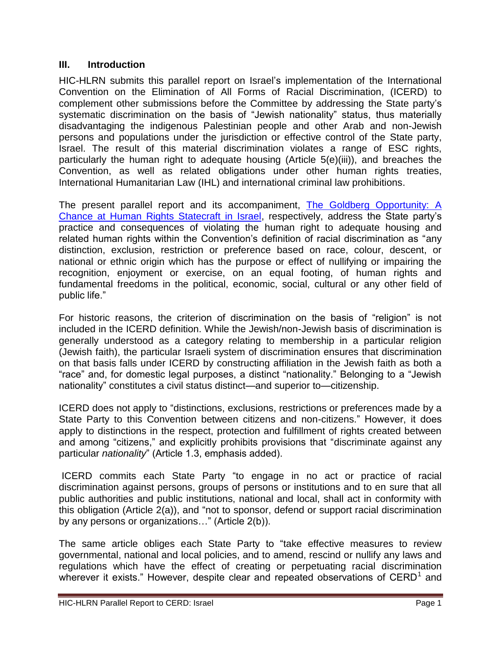#### **III. Introduction**

HIC-HLRN submits this parallel report on Israel's implementation of the International Convention on the Elimination of All Forms of Racial Discrimination, (ICERD) to complement other submissions before the Committee by addressing the State party's systematic discrimination on the basis of "Jewish nationality" status, thus materially disadvantaging the indigenous Palestinian people and other Arab and non-Jewish persons and populations under the jurisdiction or effective control of the State party, Israel. The result of this material discrimination violates a range of ESC rights, particularly the human right to adequate housing (Article 5(e)(iii)), and breaches the Convention, as well as related obligations under other human rights treaties, International Humanitarian Law (IHL) and international criminal law prohibitions.

The present parallel report and its accompaniment, [The Goldberg Opportunity: A](http://www.hlrn.org/img/publications/Naqab%20FFM%20report%202010.zip)  [Chance at Human Rights Statecraft in Israel,](http://www.hlrn.org/img/publications/Naqab%20FFM%20report%202010.zip) respectively, address the State party's practice and consequences of violating the human right to adequate housing and related human rights within the Convention's definition of racial discrimination as "any distinction, exclusion, restriction or preference based on race, colour, descent, or national or ethnic origin which has the purpose or effect of nullifying or impairing the recognition, enjoyment or exercise, on an equal footing, of human rights and fundamental freedoms in the political, economic, social, cultural or any other field of public life."

For historic reasons, the criterion of discrimination on the basis of "religion" is not included in the ICERD definition. While the Jewish/non-Jewish basis of discrimination is generally understood as a category relating to membership in a particular religion (Jewish faith), the particular Israeli system of discrimination ensures that discrimination on that basis falls under ICERD by constructing affiliation in the Jewish faith as both a "race" and, for domestic legal purposes, a distinct "nationality." Belonging to a "Jewish nationality" constitutes a civil status distinct—and superior to—citizenship.

ICERD does not apply to "distinctions, exclusions, restrictions or preferences made by a State Party to this Convention between citizens and non-citizens." However, it does apply to distinctions in the respect, protection and fulfillment of rights created between and among "citizens," and explicitly prohibits provisions that "discriminate against any particular *nationality*" (Article 1.3, emphasis added).

ICERD commits each State Party "to engage in no act or practice of racial discrimination against persons, groups of persons or institutions and to en sure that all public authorities and public institutions, national and local, shall act in conformity with this obligation (Article  $2(a)$ ), and "not to sponsor, defend or support racial discrimination by any persons or organizations..." (Article 2(b)).

The same article obliges each State Party to "take effective measures to review governmental, national and local policies, and to amend, rescind or nullify any laws and regulations which have the effect of creating or perpetuating racial discrimination wherever it exists." However, despite clear and repeated observations of  $\text{CERD}^1$  and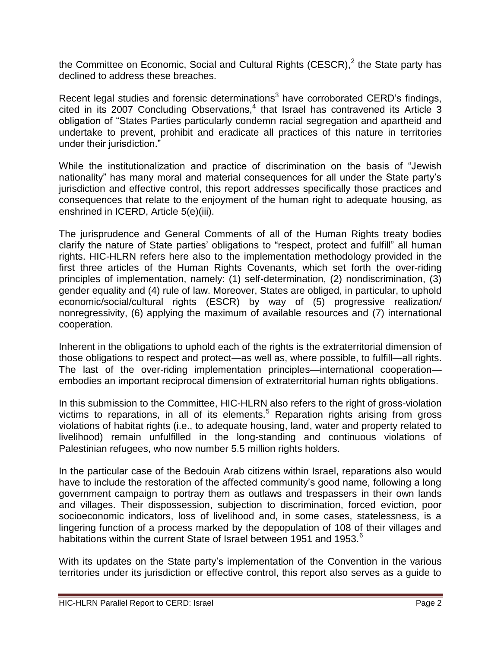the Committee on Economic, Social and Cultural Rights (CESCR),<sup>2</sup> the State party has declined to address these breaches.

Recent legal studies and forensic determinations<sup>3</sup> have corroborated CERD's findings,  $c$ ited in its 2007 Concluding Observations, $4$  that Israel has contravened its Article 3 obligation of "States Parties particularly condemn racial segregation and apartheid and undertake to prevent, prohibit and eradicate all practices of this nature in territories under their jurisdiction."

While the institutionalization and practice of discrimination on the basis of "Jewish nationality" has many moral and material consequences for all under the State party's jurisdiction and effective control, this report addresses specifically those practices and consequences that relate to the enjoyment of the human right to adequate housing, as enshrined in ICERD, Article 5(e)(iii).

The jurisprudence and General Comments of all of the Human Rights treaty bodies clarify the nature of State parties' obligations to "respect, protect and fulfill" all human rights. HIC-HLRN refers here also to the implementation methodology provided in the first three articles of the Human Rights Covenants, which set forth the over-riding principles of implementation, namely: (1) self-determination, (2) nondiscrimination, (3) gender equality and (4) rule of law. Moreover, States are obliged, in particular, to uphold economic/social/cultural rights (ESCR) by way of (5) progressive realization/ nonregressivity, (6) applying the maximum of available resources and (7) international cooperation.

Inherent in the obligations to uphold each of the rights is the extraterritorial dimension of those obligations to respect and protect—as well as, where possible, to fulfill—all rights. The last of the over-riding implementation principles—international cooperation embodies an important reciprocal dimension of extraterritorial human rights obligations.

In this submission to the Committee, HIC-HLRN also refers to the right of gross-violation victims to reparations, in all of its elements.<sup>5</sup> Reparation rights arising from gross violations of habitat rights (i.e., to adequate housing, land, water and property related to livelihood) remain unfulfilled in the long-standing and continuous violations of Palestinian refugees, who now number 5.5 million rights holders.

In the particular case of the Bedouin Arab citizens within Israel, reparations also would have to include the restoration of the affected community's good name, following a long government campaign to portray them as outlaws and trespassers in their own lands and villages. Their dispossession, subjection to discrimination, forced eviction, poor socioeconomic indicators, loss of livelihood and, in some cases, statelessness, is a lingering function of a process marked by the depopulation of 108 of their villages and habitations within the current State of Israel between 1951 and 1953.<sup>6</sup>

With its updates on the State party's implementation of the Convention in the various territories under its jurisdiction or effective control, this report also serves as a guide to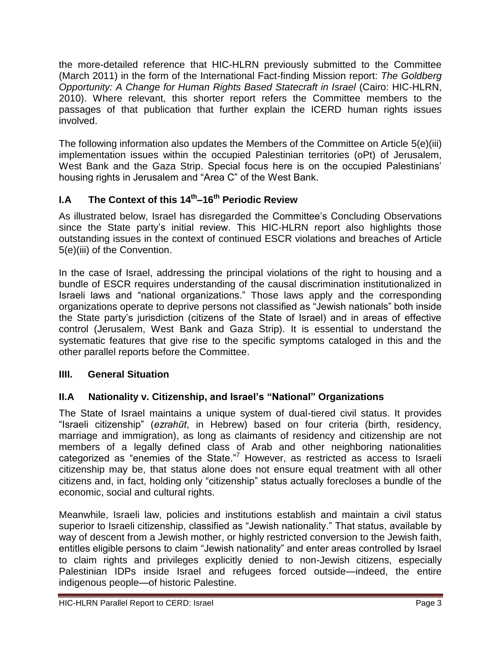the more-detailed reference that HIC-HLRN previously submitted to the Committee (March 2011) in the form of the International Fact-finding Mission report: *The Goldberg Opportunity: A Change for Human Rights Based Statecraft in Israel* (Cairo: HIC-HLRN, 2010). Where relevant, this shorter report refers the Committee members to the passages of that publication that further explain the ICERD human rights issues involved.

The following information also updates the Members of the Committee on Article 5(e)(iii) implementation issues within the occupied Palestinian territories (oPt) of Jerusalem, West Bank and the Gaza Strip. Special focus here is on the occupied Palestinians' housing rights in Jerusalem and "Area C" of the West Bank.

# **I.A The Context of this 14th –16th Periodic Review**

As illustrated below, Israel has disregarded the Committee's Concluding Observations since the State party's initial review. This HIC-HLRN report also highlights those outstanding issues in the context of continued ESCR violations and breaches of Article 5(e)(iii) of the Convention.

In the case of Israel, addressing the principal violations of the right to housing and a bundle of ESCR requires understanding of the causal discrimination institutionalized in Israeli laws and "national organizations." Those laws apply and the corresponding organizations operate to deprive persons not classified as "Jewish nationals" both inside the State party's jurisdiction (citizens of the State of Israel) and in areas of effective control (Jerusalem, West Bank and Gaza Strip). It is essential to understand the systematic features that give rise to the specific symptoms cataloged in this and the other parallel reports before the Committee.

# **IIII. General Situation**

# **II.A Nationality v. Citizenship, and Israel's "National" Organizations**

The State of Israel maintains a unique system of dual-tiered civil status. It provides ―Israeli citizenship‖ (*ezrahūt*, in Hebrew) based on four criteria (birth, residency, marriage and immigration), as long as claimants of residency and citizenship are not members of a legally defined class of Arab and other neighboring nationalities categorized as "enemies of the State."<sup>7</sup> However, as restricted as access to Israeli citizenship may be, that status alone does not ensure equal treatment with all other citizens and, in fact, holding only "citizenship" status actually forecloses a bundle of the economic, social and cultural rights.

Meanwhile, Israeli law, policies and institutions establish and maintain a civil status superior to Israeli citizenship, classified as "Jewish nationality." That status, available by way of descent from a Jewish mother, or highly restricted conversion to the Jewish faith, entitles eligible persons to claim "Jewish nationality" and enter areas controlled by Israel to claim rights and privileges explicitly denied to non-Jewish citizens, especially Palestinian IDPs inside Israel and refugees forced outside—indeed, the entire indigenous people—of historic Palestine.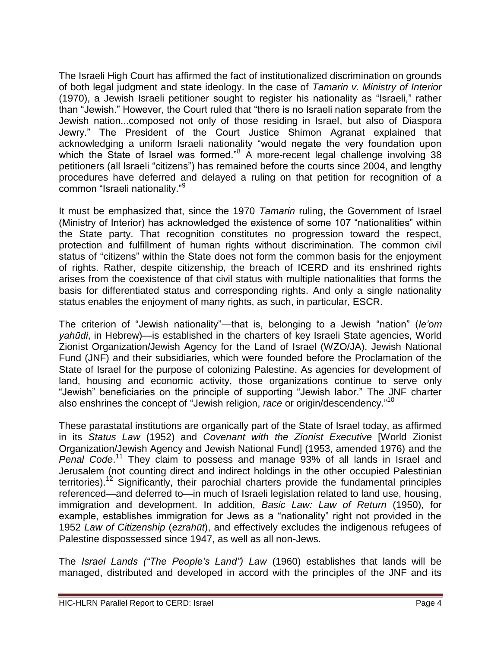The Israeli High Court has affirmed the fact of institutionalized discrimination on grounds of both legal judgment and state ideology. In the case of *Tamarin v. Ministry of Interior* (1970), a Jewish Israeli petitioner sought to register his nationality as "Israeli," rather than "Jewish." However, the Court ruled that "there is no Israeli nation separate from the Jewish nation...composed not only of those residing in Israel, but also of Diaspora Jewry." The President of the Court Justice Shimon Agranat explained that acknowledging a uniform Israeli nationality "would negate the very foundation upon which the State of Israel was formed."<sup>8</sup> A more-recent legal challenge involving 38 petitioners (all Israeli "citizens") has remained before the courts since 2004, and lengthy procedures have deferred and delayed a ruling on that petition for recognition of a common "Israeli nationality."<sup>9</sup>

It must be emphasized that, since the 1970 *Tamarin* ruling, the Government of Israel (Ministry of Interior) has acknowledged the existence of some 107 "nationalities" within the State party. That recognition constitutes no progression toward the respect, protection and fulfillment of human rights without discrimination. The common civil status of "citizens" within the State does not form the common basis for the enjoyment of rights. Rather, despite citizenship, the breach of ICERD and its enshrined rights arises from the coexistence of that civil status with multiple nationalities that forms the basis for differentiated status and corresponding rights. And only a single nationality status enables the enjoyment of many rights, as such, in particular, ESCR.

The criterion of "Jewish nationality"—that is, belonging to a Jewish "nation" (*le'om yahūdi*, in Hebrew)—is established in the charters of key Israeli State agencies, World Zionist Organization/Jewish Agency for the Land of Israel (WZO/JA), Jewish National Fund (JNF) and their subsidiaries, which were founded before the Proclamation of the State of Israel for the purpose of colonizing Palestine. As agencies for development of land, housing and economic activity, those organizations continue to serve only "Jewish" beneficiaries on the principle of supporting "Jewish labor." The JNF charter also enshrines the concept of "Jewish religion, *race* or origin/descendency."<sup>10</sup>

These parastatal institutions are organically part of the State of Israel today, as affirmed in its *Status Law* (1952) and *Covenant with the Zionist Executive* [World Zionist Organization/Jewish Agency and Jewish National Fund] (1953, amended 1976) and the Penal Code.<sup>11</sup> They claim to possess and manage 93% of all lands in Israel and Jerusalem (not counting direct and indirect holdings in the other occupied Palestinian territories).<sup>12</sup> Significantly, their parochial charters provide the fundamental principles referenced—and deferred to—in much of Israeli legislation related to land use, housing, immigration and development. In addition, *Basic Law: Law of Return* (1950), for example, establishes immigration for Jews as a "nationality" right not provided in the 1952 *Law of Citizenship* (*ezrahūt*), and effectively excludes the indigenous refugees of Palestine dispossessed since 1947, as well as all non-Jews.

The *Israel Lands ("The People's Land") Law* (1960) establishes that lands will be managed, distributed and developed in accord with the principles of the JNF and its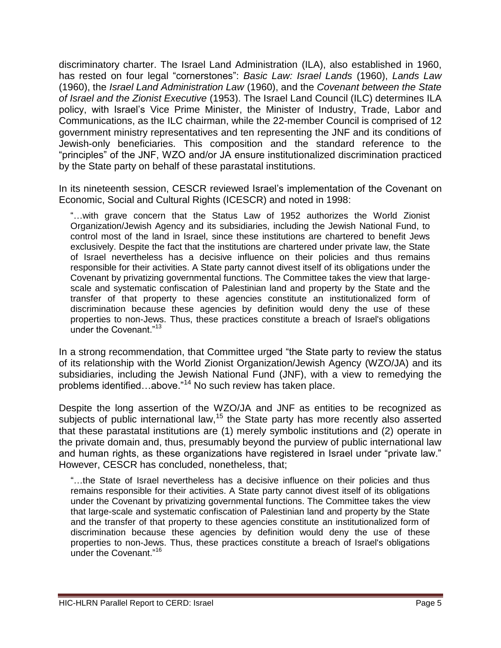discriminatory charter. The Israel Land Administration (ILA), also established in 1960, has rested on four legal "cornerstones": *Basic Law: Israel Lands* (1960), *Lands Law* (1960), the *Israel Land Administration Law* (1960), and the *Covenant between the State of Israel and the Zionist Executive* (1953). The Israel Land Council (ILC) determines ILA policy, with Israel's Vice Prime Minister, the Minister of Industry, Trade, Labor and Communications, as the ILC chairman, while the 22-member Council is comprised of 12 government ministry representatives and ten representing the JNF and its conditions of Jewish-only beneficiaries. This composition and the standard reference to the "principles" of the JNF, WZO and/or JA ensure institutionalized discrimination practiced by the State party on behalf of these parastatal institutions.

In its nineteenth session, CESCR reviewed Israel's implementation of the Covenant on Economic, Social and Cultural Rights (ICESCR) and noted in 1998:

―…with grave concern that the Status Law of 1952 authorizes the World Zionist Organization/Jewish Agency and its subsidiaries, including the Jewish National Fund, to control most of the land in Israel, since these institutions are chartered to benefit Jews exclusively. Despite the fact that the institutions are chartered under private law, the State of Israel nevertheless has a decisive influence on their policies and thus remains responsible for their activities. A State party cannot divest itself of its obligations under the Covenant by privatizing governmental functions. The Committee takes the view that largescale and systematic confiscation of Palestinian land and property by the State and the transfer of that property to these agencies constitute an institutionalized form of discrimination because these agencies by definition would deny the use of these properties to non-Jews. Thus, these practices constitute a breach of Israel's obligations under the Covenant. $13$ 

In a strong recommendation, that Committee urged "the State party to review the status of its relationship with the World Zionist Organization/Jewish Agency (WZO/JA) and its subsidiaries, including the Jewish National Fund (JNF), with a view to remedying the problems identified…above."<sup>14</sup> No such review has taken place.

Despite the long assertion of the WZO/JA and JNF as entities to be recognized as subjects of public international law,<sup>15</sup> the State party has more recently also asserted that these parastatal institutions are (1) merely symbolic institutions and (2) operate in the private domain and, thus, presumably beyond the purview of public international law and human rights, as these organizations have registered in Israel under "private law." However, CESCR has concluded, nonetheless, that;

―…the State of Israel nevertheless has a decisive influence on their policies and thus remains responsible for their activities. A State party cannot divest itself of its obligations under the Covenant by privatizing governmental functions. The Committee takes the view that large-scale and systematic confiscation of Palestinian land and property by the State and the transfer of that property to these agencies constitute an institutionalized form of discrimination because these agencies by definition would deny the use of these properties to non-Jews. Thus, these practices constitute a breach of Israel's obligations under the Covenant."<sup>16</sup>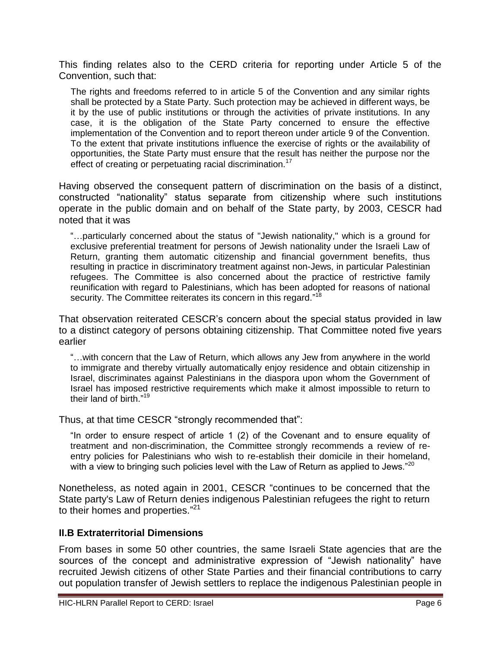This finding relates also to the CERD criteria for reporting under Article 5 of the Convention, such that:

The rights and freedoms referred to in article 5 of the Convention and any similar rights shall be protected by a State Party. Such protection may be achieved in different ways, be it by the use of public institutions or through the activities of private institutions. In any case, it is the obligation of the State Party concerned to ensure the effective implementation of the Convention and to report thereon under article 9 of the Convention. To the extent that private institutions influence the exercise of rights or the availability of opportunities, the State Party must ensure that the result has neither the purpose nor the effect of creating or perpetuating racial discrimination.<sup>17</sup>

Having observed the consequent pattern of discrimination on the basis of a distinct, constructed "nationality" status separate from citizenship where such institutions operate in the public domain and on behalf of the State party, by 2003, CESCR had noted that it was

―…particularly concerned about the status of "Jewish nationality," which is a ground for exclusive preferential treatment for persons of Jewish nationality under the Israeli Law of Return, granting them automatic citizenship and financial government benefits, thus resulting in practice in discriminatory treatment against non-Jews, in particular Palestinian refugees. The Committee is also concerned about the practice of restrictive family reunification with regard to Palestinians, which has been adopted for reasons of national security. The Committee reiterates its concern in this regard."<sup>18</sup>

That observation reiterated CESCR's concern about the special status provided in law to a distinct category of persons obtaining citizenship. That Committee noted five years earlier

"...with concern that the Law of Return, which allows any Jew from anywhere in the world to immigrate and thereby virtually automatically enjoy residence and obtain citizenship in Israel, discriminates against Palestinians in the diaspora upon whom the Government of Israel has imposed restrictive requirements which make it almost impossible to return to their land of birth."<sup>19</sup>

Thus, at that time CESCR "strongly recommended that":

"In order to ensure respect of article  $1(2)$  of the Covenant and to ensure equality of treatment and non-discrimination, the Committee strongly recommends a review of reentry policies for Palestinians who wish to re-establish their domicile in their homeland, with a view to bringing such policies level with the Law of Return as applied to Jews."<sup>20</sup>

Nonetheless, as noted again in 2001, CESCR "continues to be concerned that the State party's Law of Return denies indigenous Palestinian refugees the right to return to their homes and properties."<sup>21</sup>

#### **II.B Extraterritorial Dimensions**

From bases in some 50 other countries, the same Israeli State agencies that are the sources of the concept and administrative expression of "Jewish nationality" have recruited Jewish citizens of other State Parties and their financial contributions to carry out population transfer of Jewish settlers to replace the indigenous Palestinian people in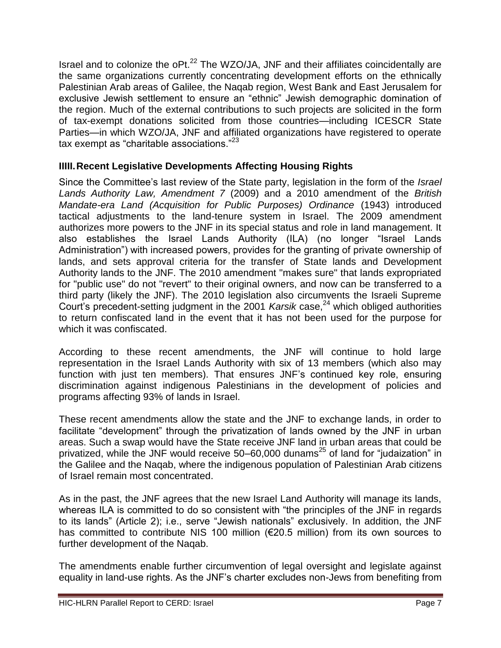Israel and to colonize the oPt.<sup>22</sup> The WZO/JA, JNF and their affiliates coincidentally are the same organizations currently concentrating development efforts on the ethnically Palestinian Arab areas of Galilee, the Naqab region, West Bank and East Jerusalem for exclusive Jewish settlement to ensure an "ethnic" Jewish demographic domination of the region. Much of the external contributions to such projects are solicited in the form of tax-exempt donations solicited from those countries—including ICESCR State Parties—in which WZO/JA, JNF and affiliated organizations have registered to operate tax exempt as "charitable associations." $23$ 

# **IIIII.Recent Legislative Developments Affecting Housing Rights**

Since the Committee's last review of the State party, legislation in the form of the *Israel Lands Authority Law, Amendment 7* (2009) and a 2010 amendment of the *British Mandate-era Land (Acquisition for Public Purposes) Ordinance* (1943) introduced tactical adjustments to the land-tenure system in Israel. The 2009 amendment authorizes more powers to the JNF in its special status and role in land management. It also establishes the Israel Lands Authority (ILA) (no longer "Israel Lands Administration") with increased powers, provides for the granting of private ownership of lands, and sets approval criteria for the transfer of State lands and Development Authority lands to the JNF. The 2010 amendment "makes sure" that lands expropriated for "public use" do not "revert" to their original owners, and now can be transferred to a third party (likely the JNF). The 2010 legislation also circumvents the Israeli Supreme Court's precedent-setting judgment in the 2001 *Karsik* case,<sup>24</sup> which obliged authorities to return confiscated land in the event that it has not been used for the purpose for which it was confiscated.

According to these recent amendments, the JNF will continue to hold large representation in the Israel Lands Authority with six of 13 members (which also may function with just ten members). That ensures JNF's continued key role, ensuring discrimination against indigenous Palestinians in the development of policies and programs affecting 93% of lands in Israel.

These recent amendments allow the state and the JNF to exchange lands, in order to facilitate "development" through the privatization of lands owned by the JNF in urban areas. Such a swap would have the State receive JNF land in urban areas that could be privatized, while the JNF would receive  $50-60,000$  dunams<sup>25</sup> of land for "judaization" in the Galilee and the Naqab, where the indigenous population of Palestinian Arab citizens of Israel remain most concentrated.

As in the past, the JNF agrees that the new Israel Land Authority will manage its lands, whereas ILA is committed to do so consistent with "the principles of the JNF in regards to its lands" (Article 2); i.e., serve "Jewish nationals" exclusively. In addition, the JNF has committed to contribute NIS 100 million (€20.5 million) from its own sources to further development of the Naqab.

The amendments enable further circumvention of legal oversight and legislate against equality in land-use rights. As the JNF's charter excludes non-Jews from benefiting from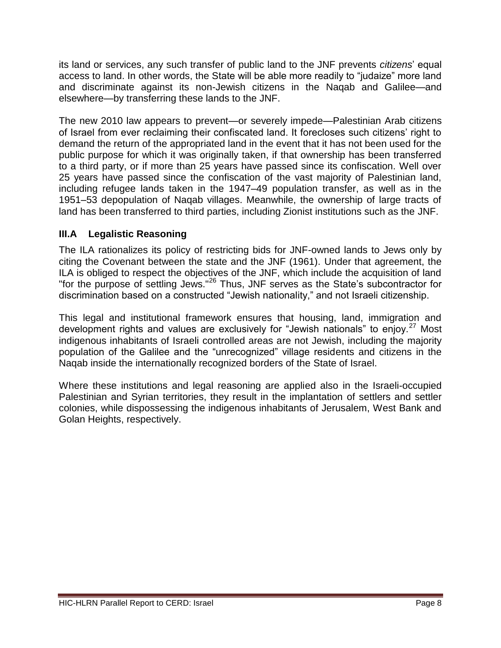its land or services, any such transfer of public land to the JNF prevents *citizens*' equal access to land. In other words, the State will be able more readily to "judaize" more land and discriminate against its non-Jewish citizens in the Naqab and Galilee—and elsewhere—by transferring these lands to the JNF.

The new 2010 law appears to prevent—or severely impede—Palestinian Arab citizens of Israel from ever reclaiming their confiscated land. It forecloses such citizens' right to demand the return of the appropriated land in the event that it has not been used for the public purpose for which it was originally taken, if that ownership has been transferred to a third party, or if more than 25 years have passed since its confiscation. Well over 25 years have passed since the confiscation of the vast majority of Palestinian land, including refugee lands taken in the 1947–49 population transfer, as well as in the 1951–53 depopulation of Naqab villages. Meanwhile, the ownership of large tracts of land has been transferred to third parties, including Zionist institutions such as the JNF.

# **III.A Legalistic Reasoning**

The ILA rationalizes its policy of restricting bids for JNF-owned lands to Jews only by citing the Covenant between the state and the JNF (1961). Under that agreement, the ILA is obliged to respect the objectives of the JNF, which include the acquisition of land "For the purpose of settling Jews."<sup>26</sup> Thus, JNF serves as the State's subcontractor for discrimination based on a constructed "Jewish nationality," and not Israeli citizenship.

This legal and institutional framework ensures that housing, land, immigration and development rights and values are exclusively for "Jewish nationals" to enjoy.<sup>27</sup> Most indigenous inhabitants of Israeli controlled areas are not Jewish, including the majority population of the Galilee and the "unrecognized" village residents and citizens in the Naqab inside the internationally recognized borders of the State of Israel.

Where these institutions and legal reasoning are applied also in the Israeli-occupied Palestinian and Syrian territories, they result in the implantation of settlers and settler colonies, while dispossessing the indigenous inhabitants of Jerusalem, West Bank and Golan Heights, respectively.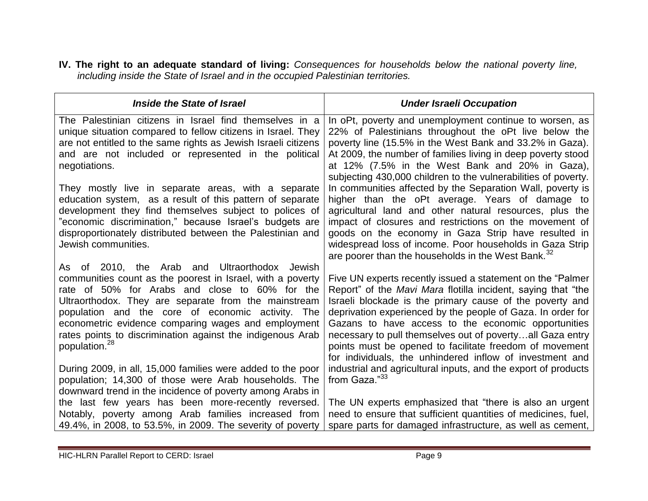**IV. The right to an adequate standard of living:** *Consequences for households below the national poverty line, including inside the State of Israel and in the occupied Palestinian territories.*

| Inside the State of Israel                                                                                                                                                                                                                                                                                                                                                                                                   | <b>Under Israeli Occupation</b>                                                                                                                                                                                                                                                                                                                                                                                                                                                                          |
|------------------------------------------------------------------------------------------------------------------------------------------------------------------------------------------------------------------------------------------------------------------------------------------------------------------------------------------------------------------------------------------------------------------------------|----------------------------------------------------------------------------------------------------------------------------------------------------------------------------------------------------------------------------------------------------------------------------------------------------------------------------------------------------------------------------------------------------------------------------------------------------------------------------------------------------------|
| The Palestinian citizens in Israel find themselves in a<br>unique situation compared to fellow citizens in Israel. They<br>are not entitled to the same rights as Jewish Israeli citizens<br>and are not included or represented in the political<br>negotiations.                                                                                                                                                           | In oPt, poverty and unemployment continue to worsen, as<br>22% of Palestinians throughout the oPt live below the<br>poverty line (15.5% in the West Bank and 33.2% in Gaza).<br>At 2009, the number of families living in deep poverty stood<br>at 12% (7.5% in the West Bank and 20% in Gaza),<br>subjecting 430,000 children to the vulnerabilities of poverty.                                                                                                                                        |
| They mostly live in separate areas, with a separate<br>education system, as a result of this pattern of separate<br>development they find themselves subject to polices of<br>"economic discrimination," because Israel's budgets are<br>disproportionately distributed between the Palestinian and<br>Jewish communities.                                                                                                   | In communities affected by the Separation Wall, poverty is<br>higher than the oPt average. Years of damage to<br>agricultural land and other natural resources, plus the<br>impact of closures and restrictions on the movement of<br>goods on the economy in Gaza Strip have resulted in<br>widespread loss of income. Poor households in Gaza Strip<br>are poorer than the households in the West Bank. <sup>32</sup>                                                                                  |
| As of 2010, the Arab and Ultraorthodox Jewish<br>communities count as the poorest in Israel, with a poverty<br>rate of 50% for Arabs and close to 60% for the<br>Ultraorthodox. They are separate from the mainstream<br>population and the core of economic activity. The<br>econometric evidence comparing wages and employment<br>rates points to discrimination against the indigenous Arab<br>population. <sup>28</sup> | Five UN experts recently issued a statement on the "Palmer"<br>Report" of the <i>Mavi Mara</i> flotilla incident, saying that "the<br>Israeli blockade is the primary cause of the poverty and<br>deprivation experienced by the people of Gaza. In order for<br>Gazans to have access to the economic opportunities<br>necessary to pull themselves out of povertyall Gaza entry<br>points must be opened to facilitate freedom of movement<br>for individuals, the unhindered inflow of investment and |
| During 2009, in all, 15,000 families were added to the poor<br>population; 14,300 of those were Arab households. The<br>downward trend in the incidence of poverty among Arabs in<br>the last few years has been more-recently reversed.<br>Notably, poverty among Arab families increased from<br>49.4%, in 2008, to 53.5%, in 2009. The severity of poverty                                                                | industrial and agricultural inputs, and the export of products<br>from Gaza."33<br>The UN experts emphasized that "there is also an urgent<br>need to ensure that sufficient quantities of medicines, fuel,<br>spare parts for damaged infrastructure, as well as cement,                                                                                                                                                                                                                                |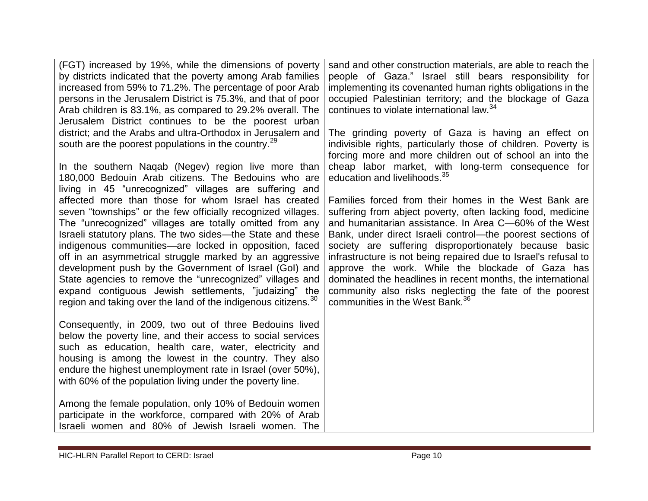| (FGT) increased by 19%, while the dimensions of poverty<br>by districts indicated that the poverty among Arab families<br>increased from 59% to 71.2%. The percentage of poor Arab<br>persons in the Jerusalem District is 75.3%, and that of poor<br>Arab children is 83.1%, as compared to 29.2% overall. The<br>Jerusalem District continues to be the poorest urban<br>district; and the Arabs and ultra-Orthodox in Jerusalem and<br>south are the poorest populations in the country. <sup>29</sup>                                                                                                                                                                                                                                                                                               | sand and other construction materials, are able to reach the<br>people of Gaza." Israel still bears responsibility for<br>implementing its covenanted human rights obligations in the<br>occupied Palestinian territory; and the blockage of Gaza<br>continues to violate international law. <sup>34</sup><br>The grinding poverty of Gaza is having an effect on<br>indivisible rights, particularly those of children. Poverty is<br>forcing more and more children out of school an into the                                                                                                                                                                                                          |
|---------------------------------------------------------------------------------------------------------------------------------------------------------------------------------------------------------------------------------------------------------------------------------------------------------------------------------------------------------------------------------------------------------------------------------------------------------------------------------------------------------------------------------------------------------------------------------------------------------------------------------------------------------------------------------------------------------------------------------------------------------------------------------------------------------|----------------------------------------------------------------------------------------------------------------------------------------------------------------------------------------------------------------------------------------------------------------------------------------------------------------------------------------------------------------------------------------------------------------------------------------------------------------------------------------------------------------------------------------------------------------------------------------------------------------------------------------------------------------------------------------------------------|
| In the southern Nagab (Negev) region live more than<br>180,000 Bedouin Arab citizens. The Bedouins who are<br>living in 45 "unrecognized" villages are suffering and<br>affected more than those for whom Israel has created<br>seven "townships" or the few officially recognized villages.<br>The "unrecognized" villages are totally omitted from any<br>Israeli statutory plans. The two sides—the State and these<br>indigenous communities—are locked in opposition, faced<br>off in an asymmetrical struggle marked by an aggressive<br>development push by the Government of Israel (GoI) and<br>State agencies to remove the "unrecognized" villages and<br>expand contiguous Jewish settlements, "judaizing" the<br>region and taking over the land of the indigenous citizens. <sup>30</sup> | cheap labor market, with long-term consequence for<br>education and livelihoods. <sup>35</sup><br>Families forced from their homes in the West Bank are<br>suffering from abject poverty, often lacking food, medicine<br>and humanitarian assistance. In Area C-60% of the West<br>Bank, under direct Israeli control—the poorest sections of<br>society are suffering disproportionately because basic<br>infrastructure is not being repaired due to Israel's refusal to<br>approve the work. While the blockade of Gaza has<br>dominated the headlines in recent months, the international<br>community also risks neglecting the fate of the poorest<br>communities in the West Bank. <sup>36</sup> |
| Consequently, in 2009, two out of three Bedouins lived<br>below the poverty line, and their access to social services<br>such as education, health care, water, electricity and<br>housing is among the lowest in the country. They also<br>endure the highest unemployment rate in Israel (over 50%),<br>with 60% of the population living under the poverty line.<br>Among the female population, only 10% of Bedouin women<br>participate in the workforce, compared with 20% of Arab<br>Israeli women and 80% of Jewish Israeli women. The                                                                                                                                                                                                                                                          |                                                                                                                                                                                                                                                                                                                                                                                                                                                                                                                                                                                                                                                                                                          |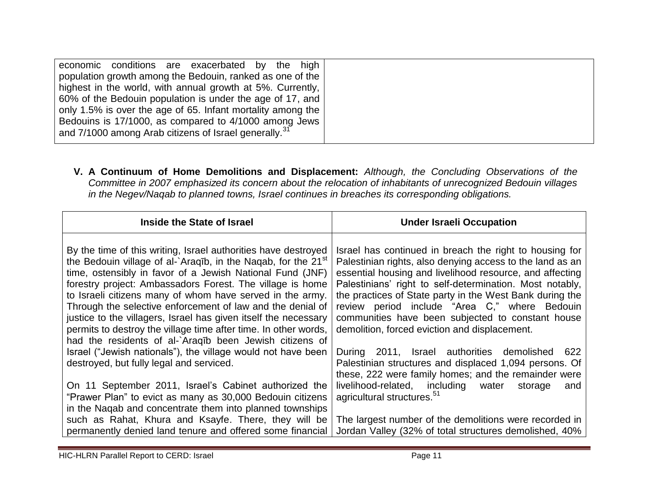|--|

**V. A Continuum of Home Demolitions and Displacement:** *Although, the Concluding Observations of the Committee in 2007 emphasized its concern about the relocation of inhabitants of unrecognized Bedouin villages in the Negev/Naqab to planned towns, Israel continues in breaches its corresponding obligations.* 

| Inside the State of Israel                                                                                                             | <b>Under Israeli Occupation</b>                                                                                       |
|----------------------------------------------------------------------------------------------------------------------------------------|-----------------------------------------------------------------------------------------------------------------------|
| By the time of this writing, Israel authorities have destroyed                                                                         | Israel has continued in breach the right to housing for                                                               |
| the Bedouin village of al-`Araqīb, in the Naqab, for the 21 <sup>st</sup><br>time, ostensibly in favor of a Jewish National Fund (JNF) | Palestinian rights, also denying access to the land as an<br>essential housing and livelihood resource, and affecting |
| forestry project: Ambassadors Forest. The village is home                                                                              | Palestinians' right to self-determination. Most notably,                                                              |
| to Israeli citizens many of whom have served in the army.<br>Through the selective enforcement of law and the denial of                | the practices of State party in the West Bank during the<br>review period include "Area C," where Bedouin             |
| justice to the villagers, Israel has given itself the necessary<br>permits to destroy the village time after time. In other words,     | communities have been subjected to constant house<br>demolition, forced eviction and displacement.                    |
| had the residents of al-`Araqīb been Jewish citizens of                                                                                |                                                                                                                       |
| Israel ("Jewish nationals"), the village would not have been<br>destroyed, but fully legal and serviced.                               | During 2011, Israel authorities demolished<br>622<br>Palestinian structures and displaced 1,094 persons. Of           |
|                                                                                                                                        | these, 222 were family homes; and the remainder were                                                                  |
| On 11 September 2011, Israel's Cabinet authorized the<br>"Prawer Plan" to evict as many as 30,000 Bedouin citizens                     | livelihood-related, including water<br>storage<br>and<br>agricultural structures. <sup>51</sup>                       |
| in the Nagab and concentrate them into planned townships                                                                               |                                                                                                                       |
| such as Rahat, Khura and Ksayfe. There, they will be<br>permanently denied land tenure and offered some financial                      | The largest number of the demolitions were recorded in<br>Jordan Valley (32% of total structures demolished, 40%      |

HIC-HLRN Parallel Report to CERD: Israel Page 11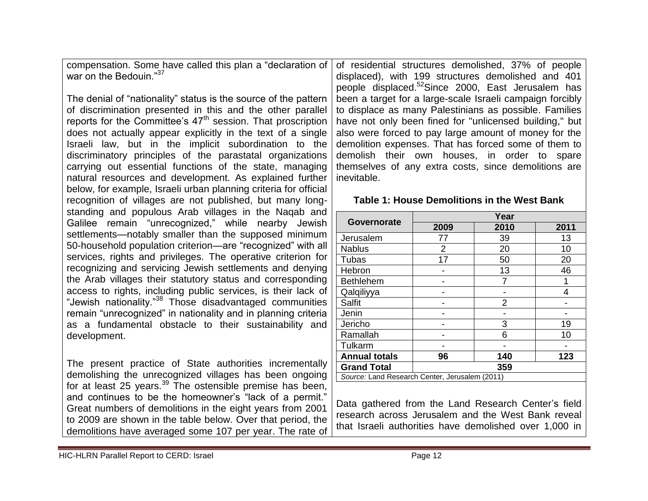compensation. Some have called this plan a "declaration of war on the Bedouin. $^{37}$ 

The denial of "nationality" status is the source of the pattern of discrimination presented in this and the other parallel reports for the Committee's  $47<sup>th</sup>$  session. That proscription does not actually appear explicitly in the text of a single Israeli law, but in the implicit subordination to the discriminatory principles of the parastatal organizations carrying out essential functions of the state, managing natural resources and development. As explained further below, for example, Israeli urban planning criteria for official recognition of villages are not published, but many longstanding and populous Arab villages in the Naqab and Galilee remain "unrecognized," while nearby Jewish settlements—notably smaller than the supposed minimum 50-household population criterion—are "recognized" with all services, rights and privileges. The operative criterion for recognizing and servicing Jewish settlements and denying the Arab villages their statutory status and corresponding access to rights, including public services, is their lack of "Jewish nationality."<sup>38</sup> Those disadvantaged communities remain "unrecognized" in nationality and in planning criteria as a fundamental obstacle to their sustainability and development.

The present practice of State authorities incrementally demolishing the unrecognized villages has been ongoing for at least 25 years. $39$  The ostensible premise has been, and continues to be the homeowner's "lack of a permit." Great numbers of demolitions in the eight years from 2001 to 2009 are shown in the table below. Over that period, the demolitions have averaged some 107 per year. The rate of

of residential structures demolished, 37% of people displaced), with 199 structures demolished and 401 people displaced.<sup>52</sup>Since 2000, East Jerusalem has been a target for a large-scale Israeli campaign forcibly to displace as many Palestinians as possible. Families have not only been fined for "unlicensed building," but also were forced to pay large amount of money for the demolition expenses. That has forced some of them to demolish their own houses, in order to spare themselves of any extra costs, since demolitions are inevitable.

#### **Table 1: House Demolitions in the West Bank**

|                                                | Year           |                |      |
|------------------------------------------------|----------------|----------------|------|
| Governorate                                    | 2009           | 2010           | 2011 |
| Jerusalem                                      | 77             | 39             | 13   |
| <b>Nablus</b>                                  | $\overline{2}$ | 20             | 10   |
| Tubas                                          | 17             | 50             | 20   |
| Hebron                                         |                | 13             | 46   |
| <b>Bethlehem</b>                               |                |                |      |
| Qalqiliyya                                     |                |                | 4    |
| <b>Salfit</b>                                  |                | $\overline{2}$ |      |
| Jenin                                          |                |                |      |
| Jericho                                        |                | 3              | 19   |
| Ramallah                                       |                | 6              | 10   |
| Tulkarm                                        |                |                |      |
| <b>Annual totals</b>                           | 96             | 140            | 123  |
| <b>Grand Total</b>                             | 359            |                |      |
| Source: Land Research Center, Jerusalem (2011) |                |                |      |

Data gathered from the Land Research Center's field research across Jerusalem and the West Bank reveal that Israeli authorities have demolished over 1,000 in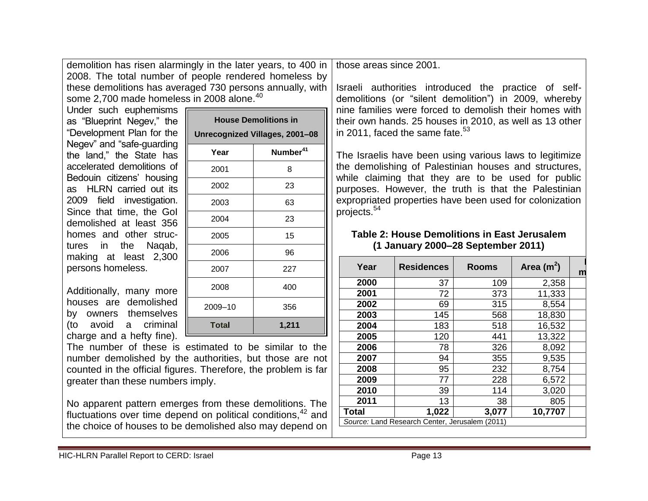demolition has risen alarmingly in the later years, to 400 in 2008. The total number of people rendered homeless by these demolitions has averaged 730 persons annually, with some 2,700 made homeless in 2008 alone.<sup>40</sup>

Under such euphemisms as "Blueprint Negey," the ―Development Plan for the Negev" and "safe-guarding the land,‖ the State has accelerated demolitions of Bedouin citizens' housing as HLRN carried out its 2009 field investigation. Since that time, the GoI demolished at least 356 homes and other structures in the Naqab, making at least 2,300 persons homeless.

Additionally, many more houses are demolished by owners themselves (to avoid a criminal charge and a hefty fine).

| <b>House Demolitions in</b>    |                      |  |
|--------------------------------|----------------------|--|
| Unrecognized Villages, 2001-08 |                      |  |
| Year                           | Number <sup>41</sup> |  |
| 2001                           | 8                    |  |
| 2002                           | 23                   |  |
| 2003                           | 63                   |  |
| 2004                           | 23                   |  |
| 2005                           | 15                   |  |
| 2006                           | 96                   |  |
| 2007                           | 227                  |  |
| 2008                           | 400                  |  |
| 2009-10                        | 356                  |  |
| <b>Total</b>                   | 1,211                |  |

The number of these is estimated to be similar to the number demolished by the authorities, but those are not counted in the official figures. Therefore, the problem is far greater than these numbers imply.

No apparent pattern emerges from these demolitions. The fluctuations over time depend on political conditions,  $42$  and the choice of houses to be demolished also may depend on

those areas since 2001.

Israeli authorities introduced the practice of selfdemolitions (or "silent demolition") in 2009, whereby nine families were forced to demolish their homes with their own hands. 25 houses in 2010, as well as 13 other in 2011, faced the same fate. $53$ 

The Israelis have been using various laws to legitimize the demolishing of Palestinian houses and structures, while claiming that they are to be used for public purposes. However, the truth is that the Palestinian expropriated properties have been used for colonization projects.<sup>54</sup>

#### **Table 2: House Demolitions in East Jerusalem (1 January 2000–28 September 2011)**

| Year         | <b>Residences</b>                              | <b>Rooms</b> | Area $(m^2)$ | m |
|--------------|------------------------------------------------|--------------|--------------|---|
| 2000         | 37                                             | 109          | 2,358        |   |
| 2001         | 72                                             | 373          | 11,333       |   |
| 2002         | 69                                             | 315          | 8,554        |   |
| 2003         | 145                                            | 568          | 18,830       |   |
| 2004         | 183                                            | 518          | 16,532       |   |
| 2005         | 120                                            | 441          | 13,322       |   |
| 2006         | 78                                             | 326          | 8,092        |   |
| 2007         | 94                                             | 355          | 9,535        |   |
| 2008         | 95                                             | 232          | 8,754        |   |
| 2009         | 77                                             | 228          | 6,572        |   |
| 2010         | 39                                             | 114          | 3,020        |   |
| 2011         | 13                                             | 38           | 805          |   |
| <b>Total</b> | 1,022                                          | 3,077        | 10,7707      |   |
|              | Source: Land Research Center, Jerusalem (2011) |              |              |   |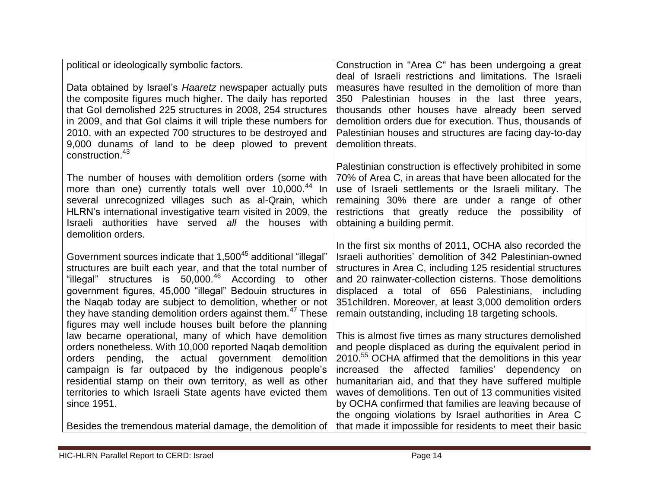| political or ideologically symbolic factors.                                                                                | Construction in "Area C" has been undergoing a great                                                      |
|-----------------------------------------------------------------------------------------------------------------------------|-----------------------------------------------------------------------------------------------------------|
|                                                                                                                             | deal of Israeli restrictions and limitations. The Israeli                                                 |
| Data obtained by Israel's Haaretz newspaper actually puts                                                                   | measures have resulted in the demolition of more than                                                     |
| the composite figures much higher. The daily has reported                                                                   | 350 Palestinian houses in the last three years,                                                           |
| that Gol demolished 225 structures in 2008, 254 structures                                                                  | thousands other houses have already been served                                                           |
| in 2009, and that Gol claims it will triple these numbers for                                                               | demolition orders due for execution. Thus, thousands of                                                   |
| 2010, with an expected 700 structures to be destroyed and                                                                   | Palestinian houses and structures are facing day-to-day                                                   |
| 9,000 dunams of land to be deep plowed to prevent                                                                           | demolition threats.                                                                                       |
| construction. <sup>43</sup>                                                                                                 |                                                                                                           |
|                                                                                                                             | Palestinian construction is effectively prohibited in some                                                |
| The number of houses with demolition orders (some with                                                                      | 70% of Area C, in areas that have been allocated for the                                                  |
| more than one) currently totals well over 10,000. <sup>44</sup> In<br>several unrecognized villages such as al-Qrain, which | use of Israeli settlements or the Israeli military. The<br>remaining 30% there are under a range of other |
| HLRN's international investigative team visited in 2009, the                                                                | restrictions that greatly reduce the possibility of                                                       |
| Israeli authorities have served all the houses with                                                                         | obtaining a building permit.                                                                              |
| demolition orders.                                                                                                          |                                                                                                           |
|                                                                                                                             | In the first six months of 2011, OCHA also recorded the                                                   |
| Government sources indicate that 1,500 <sup>45</sup> additional "illegal"                                                   | Israeli authorities' demolition of 342 Palestinian-owned                                                  |
| structures are built each year, and that the total number of                                                                | structures in Area C, including 125 residential structures                                                |
| "illegal" structures is 50,000. <sup>46</sup> According to other                                                            | and 20 rainwater-collection cisterns. Those demolitions                                                   |
| government figures, 45,000 "illegal" Bedouin structures in                                                                  | displaced a total of 656 Palestinians, including                                                          |
| the Nagab today are subject to demolition, whether or not                                                                   | 351 children. Moreover, at least 3,000 demolition orders                                                  |
| they have standing demolition orders against them. <sup>47</sup> These                                                      | remain outstanding, including 18 targeting schools.                                                       |
| figures may well include houses built before the planning                                                                   |                                                                                                           |
| law became operational, many of which have demolition                                                                       | This is almost five times as many structures demolished                                                   |
| orders nonetheless. With 10,000 reported Naqab demolition                                                                   | and people displaced as during the equivalent period in                                                   |
| pending, the actual government demolition<br>orders                                                                         | 2010. <sup>55</sup> OCHA affirmed that the demolitions in this year                                       |
| campaign is far outpaced by the indigenous people's                                                                         | increased the affected families' dependency on                                                            |
| residential stamp on their own territory, as well as other                                                                  | humanitarian aid, and that they have suffered multiple                                                    |
| territories to which Israeli State agents have evicted them                                                                 | waves of demolitions. Ten out of 13 communities visited                                                   |
| since 1951.                                                                                                                 | by OCHA confirmed that families are leaving because of                                                    |
|                                                                                                                             | the ongoing violations by Israel authorities in Area C                                                    |
| Besides the tremendous material damage, the demolition of                                                                   | that made it impossible for residents to meet their basic                                                 |

e e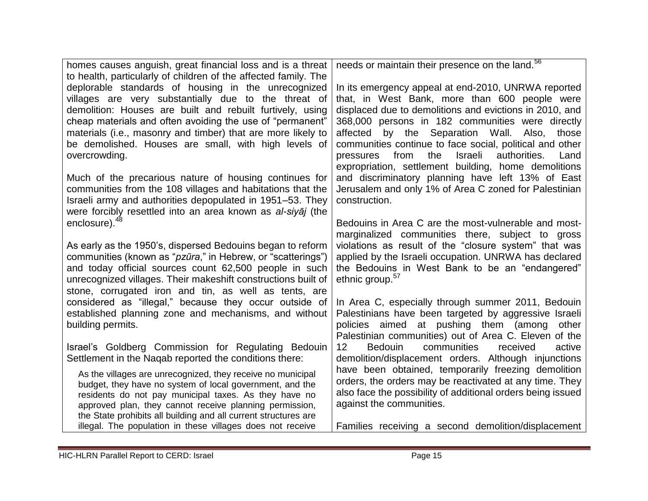| homes causes anguish, great financial loss and is a threat                                                              | needs or maintain their presence on the land. <sup>56</sup>                                                 |
|-------------------------------------------------------------------------------------------------------------------------|-------------------------------------------------------------------------------------------------------------|
| to health, particularly of children of the affected family. The                                                         |                                                                                                             |
| deplorable standards of housing in the unrecognized                                                                     | In its emergency appeal at end-2010, UNRWA reported                                                         |
| villages are very substantially due to the threat of                                                                    | that, in West Bank, more than 600 people were                                                               |
| demolition: Houses are built and rebuilt furtively, using                                                               | displaced due to demolitions and evictions in 2010, and                                                     |
| cheap materials and often avoiding the use of "permanent"                                                               | 368,000 persons in 182 communities were directly                                                            |
| materials (i.e., masonry and timber) that are more likely to<br>be demolished. Houses are small, with high levels of    | affected by the Separation Wall. Also,<br>those<br>communities continue to face social, political and other |
| overcrowding.                                                                                                           | the<br>Israeli<br>authorities.<br>from<br>Land<br>pressures                                                 |
|                                                                                                                         | expropriation, settlement building, home demolitions                                                        |
| Much of the precarious nature of housing continues for                                                                  | and discriminatory planning have left 13% of East                                                           |
| communities from the 108 villages and habitations that the                                                              | Jerusalem and only 1% of Area C zoned for Palestinian                                                       |
| Israeli army and authorities depopulated in 1951–53. They                                                               | construction.                                                                                               |
| were forcibly resettled into an area known as al-siyaj (the                                                             |                                                                                                             |
| enclosure). <sup>48</sup>                                                                                               | Bedouins in Area C are the most-vulnerable and most-                                                        |
|                                                                                                                         | marginalized communities there, subject to gross                                                            |
| As early as the 1950's, dispersed Bedouins began to reform                                                              | violations as result of the "closure system" that was                                                       |
| communities (known as "pzūra," in Hebrew, or "scatterings")                                                             | applied by the Israeli occupation. UNRWA has declared                                                       |
| and today official sources count 62,500 people in such                                                                  | the Bedouins in West Bank to be an "endangered"                                                             |
| unrecognized villages. Their makeshift constructions built of                                                           | ethnic group. <sup>57</sup>                                                                                 |
| stone, corrugated iron and tin, as well as tents, are                                                                   |                                                                                                             |
| considered as "illegal," because they occur outside of                                                                  | In Area C, especially through summer 2011, Bedouin                                                          |
| established planning zone and mechanisms, and without<br>building permits.                                              | Palestinians have been targeted by aggressive Israeli<br>policies aimed at pushing them (among<br>other     |
|                                                                                                                         | Palestinian communities) out of Area C. Eleven of the                                                       |
| Israel's Goldberg Commission for Regulating Bedouin                                                                     | 12<br><b>Bedouin</b><br>communities<br>active<br>received                                                   |
| Settlement in the Nagab reported the conditions there:                                                                  | demolition/displacement orders. Although injunctions                                                        |
|                                                                                                                         | have been obtained, temporarily freezing demolition                                                         |
| As the villages are unrecognized, they receive no municipal<br>budget, they have no system of local government, and the | orders, the orders may be reactivated at any time. They                                                     |
| residents do not pay municipal taxes. As they have no                                                                   | also face the possibility of additional orders being issued                                                 |
| approved plan, they cannot receive planning permission,                                                                 | against the communities.                                                                                    |
| the State prohibits all building and all current structures are                                                         |                                                                                                             |
| illegal. The population in these villages does not receive                                                              | Families receiving a second demolition/displacement                                                         |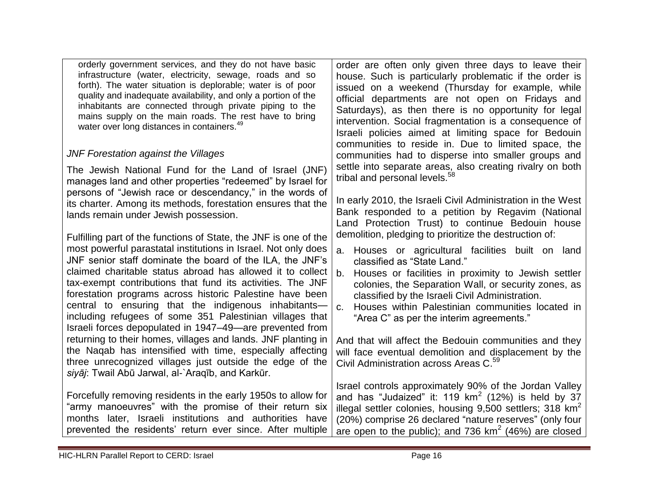| orderly government services, and they do not have basic<br>infrastructure (water, electricity, sewage, roads and so<br>forth). The water situation is deplorable; water is of poor<br>quality and inadequate availability, and only a portion of the<br>inhabitants are connected through private piping to the<br>mains supply on the main roads. The rest have to bring<br>water over long distances in containers. <sup>49</sup>                                                                                                                                     | order are often only given three days to leave their<br>house. Such is particularly problematic if the order is<br>issued on a weekend (Thursday for example, while<br>official departments are not open on Fridays and<br>Saturdays), as then there is no opportunity for legal<br>intervention. Social fragmentation is a consequence of<br>Israeli policies aimed at limiting space for Bedouin<br>communities to reside in. Due to limited space, the |
|-------------------------------------------------------------------------------------------------------------------------------------------------------------------------------------------------------------------------------------------------------------------------------------------------------------------------------------------------------------------------------------------------------------------------------------------------------------------------------------------------------------------------------------------------------------------------|-----------------------------------------------------------------------------------------------------------------------------------------------------------------------------------------------------------------------------------------------------------------------------------------------------------------------------------------------------------------------------------------------------------------------------------------------------------|
| <b>JNF Forestation against the Villages</b>                                                                                                                                                                                                                                                                                                                                                                                                                                                                                                                             | communities had to disperse into smaller groups and                                                                                                                                                                                                                                                                                                                                                                                                       |
| The Jewish National Fund for the Land of Israel (JNF)<br>manages land and other properties "redeemed" by Israel for                                                                                                                                                                                                                                                                                                                                                                                                                                                     | settle into separate areas, also creating rivalry on both<br>tribal and personal levels. <sup>58</sup>                                                                                                                                                                                                                                                                                                                                                    |
| persons of "Jewish race or descendancy," in the words of<br>its charter. Among its methods, forestation ensures that the<br>lands remain under Jewish possession.                                                                                                                                                                                                                                                                                                                                                                                                       | In early 2010, the Israeli Civil Administration in the West<br>Bank responded to a petition by Regavim (National<br>Land Protection Trust) to continue Bedouin house<br>demolition, pledging to prioritize the destruction of:                                                                                                                                                                                                                            |
| Fulfilling part of the functions of State, the JNF is one of the<br>most powerful parastatal institutions in Israel. Not only does<br>JNF senior staff dominate the board of the ILA, the JNF's<br>claimed charitable status abroad has allowed it to collect<br>tax-exempt contributions that fund its activities. The JNF<br>forestation programs across historic Palestine have been<br>central to ensuring that the indigenous inhabitants-<br>including refugees of some 351 Palestinian villages that<br>Israeli forces depopulated in 1947–49—are prevented from | Houses or agricultural facilities built on land<br>a.<br>classified as "State Land."<br>Houses or facilities in proximity to Jewish settler<br>b.<br>colonies, the Separation Wall, or security zones, as<br>classified by the Israeli Civil Administration.<br>Houses within Palestinian communities located in<br>C.<br>"Area C" as per the interim agreements."                                                                                        |
| returning to their homes, villages and lands. JNF planting in<br>the Naqab has intensified with time, especially affecting<br>three unrecognized villages just outside the edge of the<br>siyāj: Twail Abū Jarwal, al-`Araqīb, and Karkūr.                                                                                                                                                                                                                                                                                                                              | And that will affect the Bedouin communities and they<br>will face eventual demolition and displacement by the<br>Civil Administration across Areas C. <sup>59</sup>                                                                                                                                                                                                                                                                                      |
| Forcefully removing residents in the early 1950s to allow for<br>"army manoeuvres" with the promise of their return six<br>months later, Israeli institutions and authorities have<br>prevented the residents' return ever since. After multiple                                                                                                                                                                                                                                                                                                                        | Israel controls approximately 90% of the Jordan Valley<br>and has "Judaized" it: 119 $km^2$ (12%) is held by 37<br>illegal settler colonies, housing 9,500 settlers; 318 km <sup>2</sup><br>(20%) comprise 26 declared "nature reserves" (only four<br>are open to the public); and 736 $km^2$ (46%) are closed                                                                                                                                           |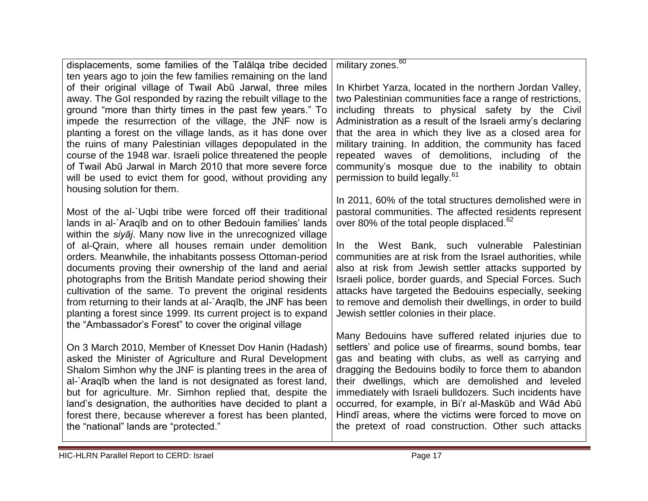displacements, some families of the Talālqa tribe decided ten years ago to join the few families remaining on the land of their original village of Twail Abū Jarwal, three miles away. The GoI responded by razing the rebuilt village to the ground "more than thirty times in the past few years." To impede the resurrection of the village, the JNF now is planting a forest on the village lands, as it has done over the ruins of many Palestinian villages depopulated in the course of the 1948 war. Israeli police threatened the people of Twail Abū Jarwal in March 2010 that more severe force will be used to evict them for good, without providing any housing solution for them.

Most of the al-`Uqbi tribe were forced off their traditional lands in al-`Araqīb and on to other Bedouin families' lands within the *siyāj*. Many now live in the unrecognized village of al-Qrain, where all houses remain under demolition orders. Meanwhile, the inhabitants possess Ottoman-period documents proving their ownership of the land and aerial photographs from the British Mandate period showing their cultivation of the same. To prevent the original residents from returning to their lands at al-`Araqīb, the JNF has been planting a forest since 1999. Its current project is to expand the "Ambassador's Forest" to cover the original village

On 3 March 2010, Member of Knesset Dov Hanin (Hadash) asked the Minister of Agriculture and Rural Development Shalom Simhon why the JNF is planting trees in the area of al-`Araqīb when the land is not designated as forest land, but for agriculture. Mr. Simhon replied that, despite the land's designation, the authorities have decided to plant a forest there, because wherever a forest has been planted, the "national" lands are "protected."

military zones.<sup>60</sup>

In Khirbet Yarza, located in the northern Jordan Valley, two Palestinian communities face a range of restrictions, including threats to physical safety by the Civil Administration as a result of the Israeli army's declaring that the area in which they live as a closed area for military training. In addition, the community has faced repeated waves of demolitions, including of the community's mosque due to the inability to obtain permission to build legally.<sup>61</sup>

In 2011, 60% of the total structures demolished were in pastoral communities. The affected residents represent over 80% of the total people displaced.<sup>62</sup>

In the West Bank, such vulnerable Palestinian communities are at risk from the Israel authorities, while also at risk from Jewish settler attacks supported by Israeli police, border guards, and Special Forces. Such attacks have targeted the Bedouins especially, seeking to remove and demolish their dwellings, in order to build Jewish settler colonies in their place.

Many Bedouins have suffered related injuries due to settlers' and police use of firearms, sound bombs, tear gas and beating with clubs, as well as carrying and dragging the Bedouins bodily to force them to abandon their dwellings, which are demolished and leveled immediately with Israeli bulldozers. Such incidents have occurred, for example, in Bi'r al-Maskūb and Wād Abū Hindī areas, where the victims were forced to move on the pretext of road construction. Other such attacks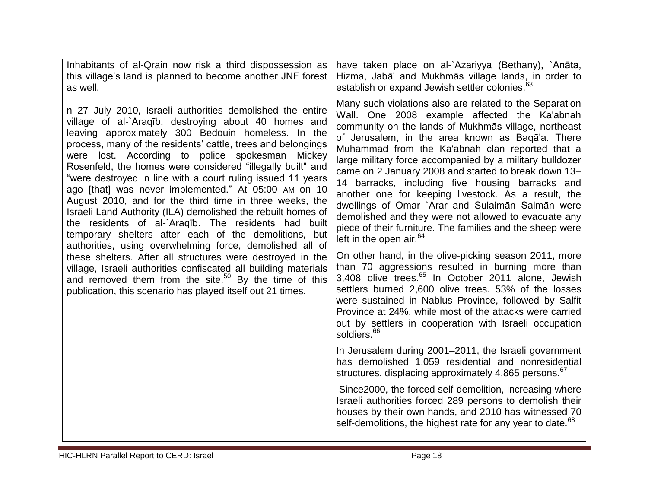| Inhabitants of al-Qrain now risk a third dispossession as<br>this village's land is planned to become another JNF forest<br>as well.                                                                                                                                                                                                                                                                                                                                                                                                                                                                                                                                                                                                                                                                                                                                                                                                                                                                                                                           | have taken place on al-`Azariyya (Bethany), `Anāta,<br>Hizma, Jabā' and Mukhmās village lands, in order to<br>establish or expand Jewish settler colonies. <sup>63</sup>                                                                                                                                                                                                                                                                                                                                                                                                                                                                                                                                                                                                                                                                                                                                                                                                                                      |
|----------------------------------------------------------------------------------------------------------------------------------------------------------------------------------------------------------------------------------------------------------------------------------------------------------------------------------------------------------------------------------------------------------------------------------------------------------------------------------------------------------------------------------------------------------------------------------------------------------------------------------------------------------------------------------------------------------------------------------------------------------------------------------------------------------------------------------------------------------------------------------------------------------------------------------------------------------------------------------------------------------------------------------------------------------------|---------------------------------------------------------------------------------------------------------------------------------------------------------------------------------------------------------------------------------------------------------------------------------------------------------------------------------------------------------------------------------------------------------------------------------------------------------------------------------------------------------------------------------------------------------------------------------------------------------------------------------------------------------------------------------------------------------------------------------------------------------------------------------------------------------------------------------------------------------------------------------------------------------------------------------------------------------------------------------------------------------------|
| n 27 July 2010, Israeli authorities demolished the entire<br>village of al-`Araqīb, destroying about 40 homes and<br>leaving approximately 300 Bedouin homeless. In the<br>process, many of the residents' cattle, trees and belongings<br>were lost. According to police spokesman<br>Mickey<br>Rosenfeld, the homes were considered "illegally built" and<br>"were destroyed in line with a court ruling issued 11 years<br>ago [that] was never implemented." At 05:00 AM on 10<br>August 2010, and for the third time in three weeks, the<br>Israeli Land Authority (ILA) demolished the rebuilt homes of<br>the residents of al-`Araqib. The residents had built<br>temporary shelters after each of the demolitions, but<br>authorities, using overwhelming force, demolished all of<br>these shelters. After all structures were destroyed in the<br>village, Israeli authorities confiscated all building materials<br>and removed them from the site. <sup>50</sup> By the time of this<br>publication, this scenario has played itself out 21 times. | Many such violations also are related to the Separation<br>Wall. One 2008 example affected the Ka'abnah<br>community on the lands of Mukhmas village, northeast<br>of Jerusalem, in the area known as Baga'a. There<br>Muhammad from the Ka'abnah clan reported that a<br>large military force accompanied by a military bulldozer<br>came on 2 January 2008 and started to break down 13-<br>14 barracks, including five housing barracks and<br>another one for keeping livestock. As a result, the<br>dwellings of Omar `Arar and Sulaiman Salman were<br>demolished and they were not allowed to evacuate any<br>piece of their furniture. The families and the sheep were<br>left in the open air. $64$<br>On other hand, in the olive-picking season 2011, more<br>than 70 aggressions resulted in burning more than<br>3,408 olive trees. <sup>65</sup> In October 2011 alone, Jewish<br>settlers burned 2,600 olive trees. 53% of the losses<br>were sustained in Nablus Province, followed by Salfit |
|                                                                                                                                                                                                                                                                                                                                                                                                                                                                                                                                                                                                                                                                                                                                                                                                                                                                                                                                                                                                                                                                | Province at 24%, while most of the attacks were carried<br>out by settlers in cooperation with Israeli occupation<br>soldiers. <sup>66</sup>                                                                                                                                                                                                                                                                                                                                                                                                                                                                                                                                                                                                                                                                                                                                                                                                                                                                  |
|                                                                                                                                                                                                                                                                                                                                                                                                                                                                                                                                                                                                                                                                                                                                                                                                                                                                                                                                                                                                                                                                | In Jerusalem during 2001-2011, the Israeli government<br>has demolished 1,059 residential and nonresidential<br>structures, displacing approximately 4,865 persons. <sup>67</sup>                                                                                                                                                                                                                                                                                                                                                                                                                                                                                                                                                                                                                                                                                                                                                                                                                             |
|                                                                                                                                                                                                                                                                                                                                                                                                                                                                                                                                                                                                                                                                                                                                                                                                                                                                                                                                                                                                                                                                | Since 2000, the forced self-demolition, increasing where<br>Israeli authorities forced 289 persons to demolish their<br>houses by their own hands, and 2010 has witnessed 70<br>self-demolitions, the highest rate for any year to date. <sup>68</sup>                                                                                                                                                                                                                                                                                                                                                                                                                                                                                                                                                                                                                                                                                                                                                        |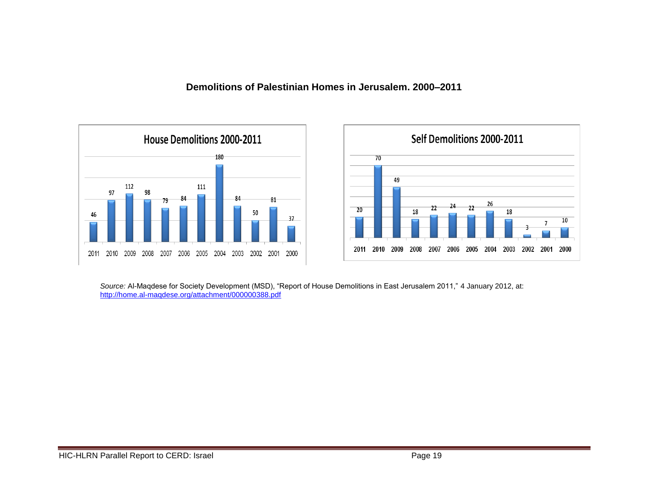**Demolitions of Palestinian Homes in Jerusalem. 2000–2011**





Source: Al-Maqdese for Society Development (MSD), "Report of House Demolitions in East Jerusalem 2011," 4 January 2012, at: <http://home.al-maqdese.org/attachment/000000388.pdf>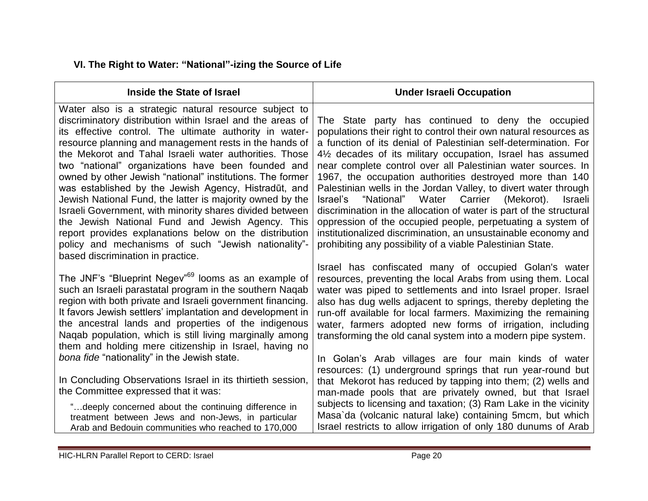|  |  |  |  |  | VI. The Right to Water: "National"-izing the Source of Life |
|--|--|--|--|--|-------------------------------------------------------------|
|--|--|--|--|--|-------------------------------------------------------------|

| Inside the State of Israel                                                                                                                                                                                                                                                                                                                                                                                                                                                                                                                                                                                                                                                                                                                                                                                       | <b>Under Israeli Occupation</b>                                                                                                                                                                                                                                                                                                                                                                                                                                                                                                                                                                                                                                                                                                                                                                                          |
|------------------------------------------------------------------------------------------------------------------------------------------------------------------------------------------------------------------------------------------------------------------------------------------------------------------------------------------------------------------------------------------------------------------------------------------------------------------------------------------------------------------------------------------------------------------------------------------------------------------------------------------------------------------------------------------------------------------------------------------------------------------------------------------------------------------|--------------------------------------------------------------------------------------------------------------------------------------------------------------------------------------------------------------------------------------------------------------------------------------------------------------------------------------------------------------------------------------------------------------------------------------------------------------------------------------------------------------------------------------------------------------------------------------------------------------------------------------------------------------------------------------------------------------------------------------------------------------------------------------------------------------------------|
| Water also is a strategic natural resource subject to<br>discriminatory distribution within Israel and the areas of<br>its effective control. The ultimate authority in water-<br>resource planning and management rests in the hands of<br>the Mekorot and Tahal Israeli water authorities. Those<br>two "national" organizations have been founded and<br>owned by other Jewish "national" institutions. The former<br>was established by the Jewish Agency, Histradūt, and<br>Jewish National Fund, the latter is majority owned by the<br>Israeli Government, with minority shares divided between<br>the Jewish National Fund and Jewish Agency. This<br>report provides explanations below on the distribution<br>policy and mechanisms of such "Jewish nationality"-<br>based discrimination in practice. | The State party has continued to deny the occupied<br>populations their right to control their own natural resources as<br>a function of its denial of Palestinian self-determination. For<br>41/ <sub>2</sub> decades of its military occupation, Israel has assumed<br>near complete control over all Palestinian water sources. In<br>1967, the occupation authorities destroyed more than 140<br>Palestinian wells in the Jordan Valley, to divert water through<br>"National"<br>Water<br>Carrier<br>(Mekorot).<br>Israel's<br><b>Israeli</b><br>discrimination in the allocation of water is part of the structural<br>oppression of the occupied people, perpetuating a system of<br>institutionalized discrimination, an unsustainable economy and<br>prohibiting any possibility of a viable Palestinian State. |
| The JNF's "Blueprint Negev" <sup>69</sup> looms as an example of<br>such an Israeli parastatal program in the southern Naqab<br>region with both private and Israeli government financing.<br>It favors Jewish settlers' implantation and development in<br>the ancestral lands and properties of the indigenous<br>Naqab population, which is still living marginally among<br>them and holding mere citizenship in Israel, having no                                                                                                                                                                                                                                                                                                                                                                           | Israel has confiscated many of occupied Golan's water<br>resources, preventing the local Arabs from using them. Local<br>water was piped to settlements and into Israel proper. Israel<br>also has dug wells adjacent to springs, thereby depleting the<br>run-off available for local farmers. Maximizing the remaining<br>water, farmers adopted new forms of irrigation, including<br>transforming the old canal system into a modern pipe system.                                                                                                                                                                                                                                                                                                                                                                    |
| bona fide "nationality" in the Jewish state.<br>In Concluding Observations Israel in its thirtieth session,<br>the Committee expressed that it was:<br>" deeply concerned about the continuing difference in<br>treatment between Jews and non-Jews, in particular<br>Arab and Bedouin communities who reached to 170,000                                                                                                                                                                                                                                                                                                                                                                                                                                                                                        | In Golan's Arab villages are four main kinds of water<br>resources: (1) underground springs that run year-round but<br>that Mekorot has reduced by tapping into them; (2) wells and<br>man-made pools that are privately owned, but that Israel<br>subjects to licensing and taxation; (3) Ram Lake in the vicinity<br>Masa`da (volcanic natural lake) containing 5mcm, but which<br>Israel restricts to allow irrigation of only 180 dunums of Arab                                                                                                                                                                                                                                                                                                                                                                     |

and a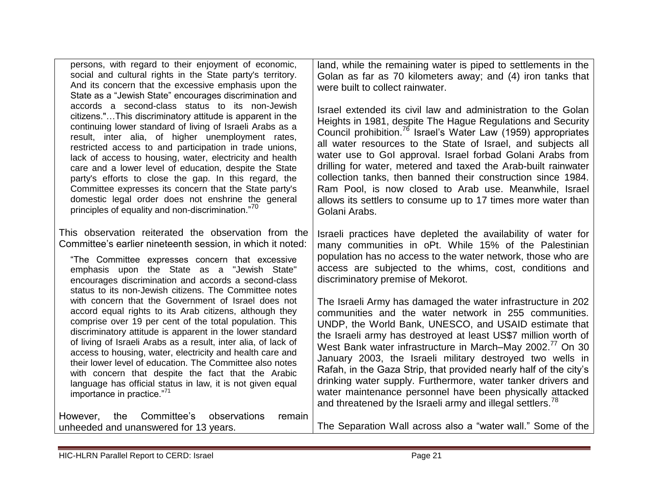| persons, with regard to their enjoyment of economic,       |
|------------------------------------------------------------|
| social and cultural rights in the State party's territory. |
| And its concern that the excessive emphasis upon the       |
| State as a "Jewish State" encourages discrimination and    |
| accords a second-class status to its non-Jewish            |
| citizens."This discriminatory attitude is apparent in the  |
| continuing lower standard of living of Israeli Arabs as a  |
| result, inter alia, of higher unemployment rates,          |
| restricted access to and participation in trade unions,    |
| lack of access to housing, water, electricity and health   |
| care and a lower level of education, despite the State     |
| party's efforts to close the gap. In this regard, the      |
| Committee expresses its concern that the State party's     |
| domestic legal order does not enshrine the general         |
| principles of equality and non-discrimination."70          |
|                                                            |

This observation reiterated the observation from the Committee's earlier nineteenth session, in which it noted:

―The Committee expresses concern that excessive emphasis upon the State as a "Jewish State" encourages discrimination and accords a second-class status to its non-Jewish citizens. The Committee notes with concern that the Government of Israel does not accord equal rights to its Arab citizens, although they comprise over 19 per cent of the total population. This discriminatory attitude is apparent in the lower standard of living of Israeli Arabs as a result, inter alia, of lack of access to housing, water, electricity and health care and their lower level of education. The Committee also notes with concern that despite the fact that the Arabic language has official status in law, it is not given equal importance in practice. $"^{71}$ 

However, the Committee's observations remain unheeded and unanswered for 13 years.

land, while the remaining water is piped to settlements in the Golan as far as 70 kilometers away; and (4) iron tanks that were built to collect rainwater.

Israel extended its civil law and administration to the Golan Heights in 1981, despite The Hague Regulations and Security Council prohibition.<sup>76</sup> Israel's Water Law (1959) appropriates all water resources to the State of Israel, and subjects all water use to GoI approval. Israel forbad Golani Arabs from drilling for water, metered and taxed the Arab-built rainwater collection tanks, then banned their construction since 1984. Ram Pool, is now closed to Arab use. Meanwhile, Israel allows its settlers to consume up to 17 times more water than Golani Arabs.

Israeli practices have depleted the availability of water for many communities in oPt. While 15% of the Palestinian population has no access to the water network, those who are access are subjected to the whims, cost, conditions and discriminatory premise of Mekorot.

The Israeli Army has damaged the water infrastructure in 202 communities and the water network in 255 communities. UNDP, the World Bank, UNESCO, and USAID estimate that the Israeli army has destroyed at least US\$7 million worth of West Bank water infrastructure in March–May 2002. <sup>77</sup> On 30 January 2003, the Israeli military destroyed two wells in Rafah, in the Gaza Strip, that provided nearly half of the city's drinking water supply. Furthermore, water tanker drivers and water maintenance personnel have been physically attacked and threatened by the Israeli army and illegal settlers.<sup>78</sup>

The Separation Wall across also a "water wall." Some of the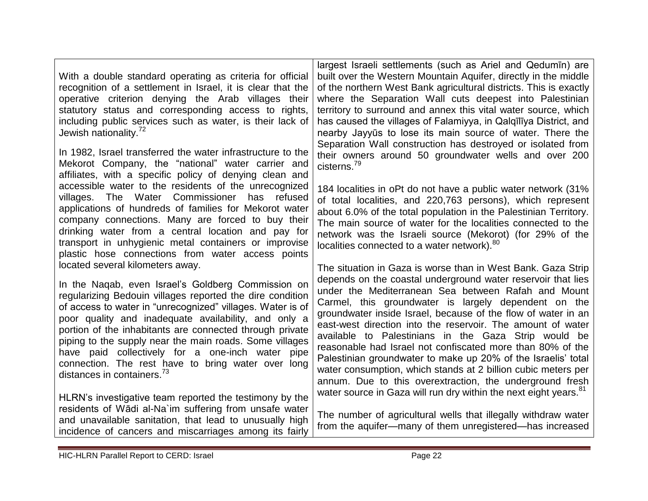| With a double standard operating as criteria for official<br>recognition of a settlement in Israel, it is clear that the<br>operative criterion denying the Arab villages their<br>statutory status and corresponding access to rights,<br>including public services such as water, is their lack of<br>Jewish nationality. <sup>72</sup>                                                                                                                                                                                                            | largest Israeli settlements (such as Ariel and Qedumin) are<br>built over the Western Mountain Aquifer, directly in the middle<br>of the northern West Bank agricultural districts. This is exactly<br>where the Separation Wall cuts deepest into Palestinian<br>territory to surround and annex this vital water source, which<br>has caused the villages of Falamiyya, in Qalqiliya District, and<br>nearby Jayyūs to lose its main source of water. There the                                                                                                                                                                                                                               |
|------------------------------------------------------------------------------------------------------------------------------------------------------------------------------------------------------------------------------------------------------------------------------------------------------------------------------------------------------------------------------------------------------------------------------------------------------------------------------------------------------------------------------------------------------|-------------------------------------------------------------------------------------------------------------------------------------------------------------------------------------------------------------------------------------------------------------------------------------------------------------------------------------------------------------------------------------------------------------------------------------------------------------------------------------------------------------------------------------------------------------------------------------------------------------------------------------------------------------------------------------------------|
| In 1982, Israel transferred the water infrastructure to the<br>Mekorot Company, the "national" water carrier and<br>affiliates, with a specific policy of denying clean and                                                                                                                                                                                                                                                                                                                                                                          | Separation Wall construction has destroyed or isolated from<br>their owners around 50 groundwater wells and over 200<br>cisterns. <sup>79</sup>                                                                                                                                                                                                                                                                                                                                                                                                                                                                                                                                                 |
| accessible water to the residents of the unrecognized<br>villages. The Water Commissioner<br>has<br>refused<br>applications of hundreds of families for Mekorot water<br>company connections. Many are forced to buy their<br>drinking water from a central location and pay for<br>transport in unhygienic metal containers or improvise<br>plastic hose connections from water access points                                                                                                                                                       | 184 localities in oPt do not have a public water network (31%<br>of total localities, and 220,763 persons), which represent<br>about 6.0% of the total population in the Palestinian Territory.<br>The main source of water for the localities connected to the<br>network was the Israeli source (Mekorot) (for 29% of the<br>localities connected to a water network). <sup>80</sup>                                                                                                                                                                                                                                                                                                          |
| located several kilometers away.<br>In the Naqab, even Israel's Goldberg Commission on<br>regularizing Bedouin villages reported the dire condition<br>of access to water in "unrecognized" villages. Water is of<br>poor quality and inadequate availability, and only a<br>portion of the inhabitants are connected through private<br>piping to the supply near the main roads. Some villages<br>have paid collectively for a one-inch water pipe<br>connection. The rest have to bring water over long<br>distances in containers. <sup>73</sup> | The situation in Gaza is worse than in West Bank. Gaza Strip<br>depends on the coastal underground water reservoir that lies<br>under the Mediterranean Sea between Rafah and Mount<br>Carmel, this groundwater is largely dependent on the<br>groundwater inside Israel, because of the flow of water in an<br>east-west direction into the reservoir. The amount of water<br>available to Palestinians in the Gaza Strip would be<br>reasonable had Israel not confiscated more than 80% of the<br>Palestinian groundwater to make up 20% of the Israelis' total<br>water consumption, which stands at 2 billion cubic meters per<br>annum. Due to this overextraction, the underground fresh |
| HLRN's investigative team reported the testimony by the<br>residents of Wādi al-Na`im suffering from unsafe water<br>and unavailable sanitation, that lead to unusually high<br>incidence of cancers and miscarriages among its fairly                                                                                                                                                                                                                                                                                                               | water source in Gaza will run dry within the next eight years. <sup>81</sup><br>The number of agricultural wells that illegally withdraw water<br>from the aquifer-many of them unregistered-has increased                                                                                                                                                                                                                                                                                                                                                                                                                                                                                      |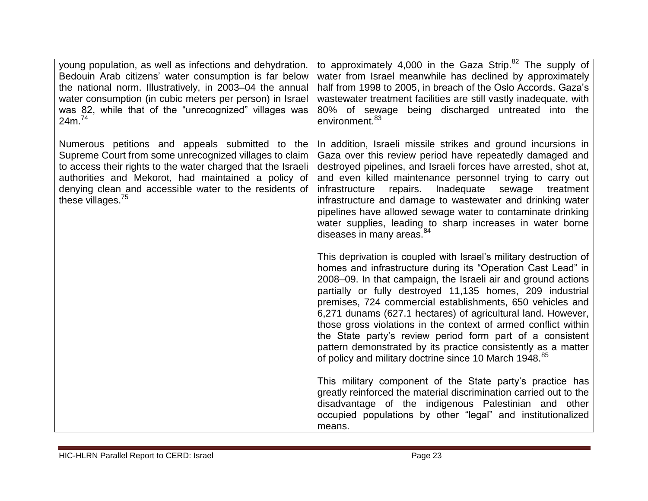| young population, as well as infections and dehydration.<br>Bedouin Arab citizens' water consumption is far below<br>the national norm. Illustratively, in 2003–04 the annual<br>water consumption (in cubic meters per person) in Israel<br>was 82, while that of the "unrecognized" villages was<br>24m. <sup>74</sup>    | to approximately 4,000 in the Gaza Strip. $82$ The supply of<br>water from Israel meanwhile has declined by approximately<br>half from 1998 to 2005, in breach of the Oslo Accords. Gaza's<br>wastewater treatment facilities are still vastly inadequate, with<br>80% of sewage being discharged untreated into the<br>environment. <sup>83</sup>                                                                                                                                                                                                                                                                                                                 |
|-----------------------------------------------------------------------------------------------------------------------------------------------------------------------------------------------------------------------------------------------------------------------------------------------------------------------------|--------------------------------------------------------------------------------------------------------------------------------------------------------------------------------------------------------------------------------------------------------------------------------------------------------------------------------------------------------------------------------------------------------------------------------------------------------------------------------------------------------------------------------------------------------------------------------------------------------------------------------------------------------------------|
| Numerous petitions and appeals submitted to the<br>Supreme Court from some unrecognized villages to claim<br>to access their rights to the water charged that the Israeli<br>authorities and Mekorot, had maintained a policy of<br>denying clean and accessible water to the residents of<br>these villages. <sup>75</sup> | In addition, Israeli missile strikes and ground incursions in<br>Gaza over this review period have repeatedly damaged and<br>destroyed pipelines, and Israeli forces have arrested, shot at,<br>and even killed maintenance personnel trying to carry out<br>infrastructure<br>repairs.<br>Inadequate<br>sewage<br>treatment<br>infrastructure and damage to wastewater and drinking water<br>pipelines have allowed sewage water to contaminate drinking<br>water supplies, leading to sharp increases in water borne<br>diseases in many areas. <sup>84</sup>                                                                                                    |
|                                                                                                                                                                                                                                                                                                                             | This deprivation is coupled with Israel's military destruction of<br>homes and infrastructure during its "Operation Cast Lead" in<br>2008–09. In that campaign, the Israeli air and ground actions<br>partially or fully destroyed 11,135 homes, 209 industrial<br>premises, 724 commercial establishments, 650 vehicles and<br>6,271 dunams (627.1 hectares) of agricultural land. However,<br>those gross violations in the context of armed conflict within<br>the State party's review period form part of a consistent<br>pattern demonstrated by its practice consistently as a matter<br>of policy and military doctrine since 10 March 1948. <sup>85</sup> |
|                                                                                                                                                                                                                                                                                                                             | This military component of the State party's practice has<br>greatly reinforced the material discrimination carried out to the<br>disadvantage of the indigenous Palestinian and other<br>occupied populations by other "legal" and institutionalized<br>means.                                                                                                                                                                                                                                                                                                                                                                                                    |

and a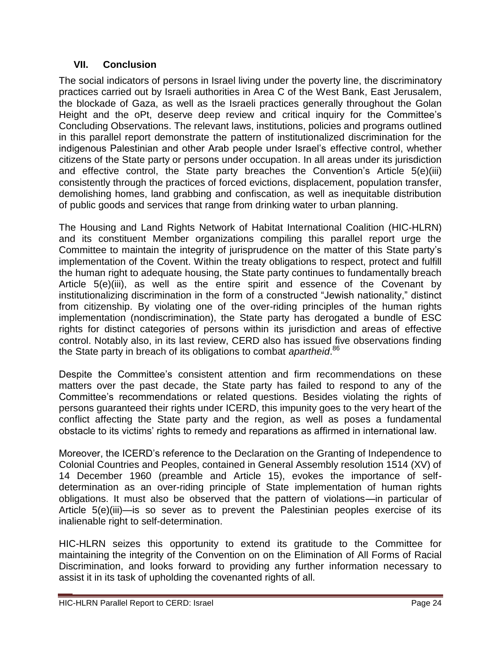#### **VII. Conclusion**

The social indicators of persons in Israel living under the poverty line, the discriminatory practices carried out by Israeli authorities in Area C of the West Bank, East Jerusalem, the blockade of Gaza, as well as the Israeli practices generally throughout the Golan Height and the oPt, deserve deep review and critical inquiry for the Committee's Concluding Observations. The relevant laws, institutions, policies and programs outlined in this parallel report demonstrate the pattern of institutionalized discrimination for the indigenous Palestinian and other Arab people under Israel's effective control, whether citizens of the State party or persons under occupation. In all areas under its jurisdiction and effective control, the State party breaches the Convention's Article 5(e)(iii) consistently through the practices of forced evictions, displacement, population transfer, demolishing homes, land grabbing and confiscation, as well as inequitable distribution of public goods and services that range from drinking water to urban planning.

The Housing and Land Rights Network of Habitat International Coalition (HIC-HLRN) and its constituent Member organizations compiling this parallel report urge the Committee to maintain the integrity of jurisprudence on the matter of this State party's implementation of the Covent. Within the treaty obligations to respect, protect and fulfill the human right to adequate housing, the State party continues to fundamentally breach Article 5(e)(iii), as well as the entire spirit and essence of the Covenant by institutionalizing discrimination in the form of a constructed "Jewish nationality," distinct from citizenship. By violating one of the over-riding principles of the human rights implementation (nondiscrimination), the State party has derogated a bundle of ESC rights for distinct categories of persons within its jurisdiction and areas of effective control. Notably also, in its last review, CERD also has issued five observations finding the State party in breach of its obligations to combat *apartheid*. 86

Despite the Committee's consistent attention and firm recommendations on these matters over the past decade, the State party has failed to respond to any of the Committee's recommendations or related questions. Besides violating the rights of persons guaranteed their rights under ICERD, this impunity goes to the very heart of the conflict affecting the State party and the region, as well as poses a fundamental obstacle to its victims' rights to remedy and reparations as affirmed in international law.

Moreover, the ICERD's reference to the Declaration on the Granting of Independence to Colonial Countries and Peoples, contained in General Assembly resolution 1514 (XV) of 14 December 1960 (preamble and Article 15), evokes the importance of selfdetermination as an over-riding principle of State implementation of human rights obligations. It must also be observed that the pattern of violations—in particular of Article 5(e)(iii)—is so sever as to prevent the Palestinian peoples exercise of its inalienable right to self-determination.

HIC-HLRN seizes this opportunity to extend its gratitude to the Committee for maintaining the integrity of the Convention on on the Elimination of All Forms of Racial Discrimination, and looks forward to providing any further information necessary to assist it in its task of upholding the covenanted rights of all.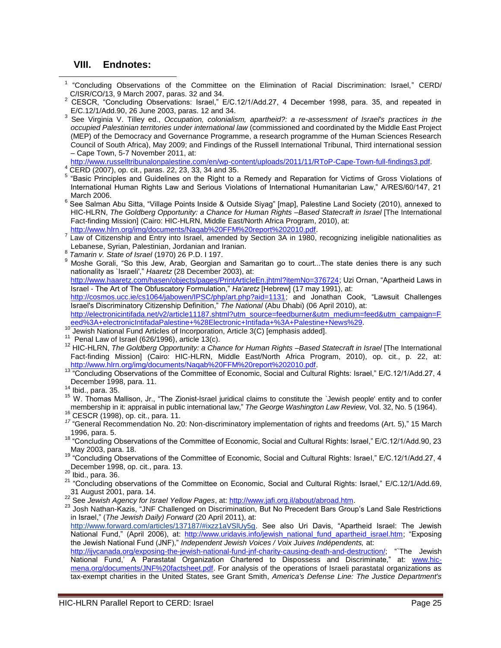#### **VIII. Endnotes:**

 $\overline{\phantom{a}}$ 

- 1 "Concluding Observations of the Committee on the Elimination of Racial Discrimination: Israel," CERD/ C/ISR/CO/13, 9 March 2007, paras. 32 and 34.
- 2 CESCR, "Concluding Observations: Israel," E/C.12/1/Add.27, 4 December 1998, para. 35, and repeated in E/C.12/1/Add.90, 26 June 2003, paras. 12 and 34.
- 3 See Virginia V. Tilley ed., *Occupation, colonialism, apartheid?: a re-assessment of Israel's practices in the occupied Palestinian territories under international law* (commissioned and coordinated by the Middle East Project (MEP) of the Democracy and Governance Programme, a research programme of the Human Sciences Research Council of South Africa), May 2009; and Findings of the Russell International Tribunal, Third international session – Cape Town, 5-7 November 2011, at:

[http://www.russelltribunalonpalestine.com/en/wp-content/uploads/2011/11/RToP-Cape-Town-full-findings3.pdf.](http://www.russelltribunalonpalestine.com/en/wp-content/uploads/2011/11/RToP-Cape-Town-full-findings3.pdf) <sup>4</sup> CERD (2007), op. cit., paras. 22, 23, 33, 34 and 35.

- 5 ―Basic Principles and Guidelines on the Right to a Remedy and Reparation for Victims of Gross Violations of International Human Rights Law and Serious Violations of International Humanitarian Law," A/RES/60/147, 21 March 2006.
- $^6$  See Salman Abu Sitta, "Village Points Inside & Outside Siyag" [map], Palestine Land Society (2010), annexed to HIC-HLRN, *The Goldberg Opportunity: a Chance for Human Rights –Based Statecraft in Israel* [The International Fact-finding Mission] (Cairo: HIC-HLRN, Middle East/North Africa Program, 2010), at: [http://www.hlrn.org/img/documents/Naqab%20FFM%20report%202010.pdf.](http://www.hlrn.org/img/documents/Naqab%20FFM%20report%202010.pdf)
- <sup>7</sup> Law of Citizenship and Entry into Israel, amended by Section 3A in 1980, recognizing ineligible nationalities as Lebanese, Syrian, Palestinian, Jordanian and Iranian. 8
- *Tamarin v. State of Israel* (1970) 26 P.D. I 197.

9 *Famann G* State of Islas, Nerre, 20 Fight 1911<br><sup>9</sup> Moshe Gorali, "So this Jew, Arab, Georgian and Samaritan go to court...The state denies there is any such nationality as 'Israeli'," Haaretz (28 December 2003), at: [http://www.haaretz.com/hasen/objects/pages/PrintArticleEn.jhtml?itemNo=376724;](http://www.haaretz.com/hasen/objects/pages/PrintArticleEn.jhtml?itemNo=376724) Uzi Ornan, "Apartheid Laws in Israel - The Art of The Obfuscatory Formulation," [Ha'aretz](http://student.cs.ucc.ie/cs1064/jabowen/IPSC/journals/Haaretz.php) [Hebrew] (17 may 1991), at: [http://cosmos.ucc.ie/cs1064/jabowen/IPSC/php/art.php?aid=1131;](http://cosmos.ucc.ie/cs1064/jabowen/IPSC/php/art.php?aid=1131) and Jonathan Cook, "Lawsuit Challenges Israel's Discriminatory Citizenship Definition," The National (Abu Dhabi) (06 April 2010), at: [http://electronicintifada.net/v2/article11187.shtml?utm\\_source=feedburner&utm\\_medium=feed&utm\\_campaign=F](http://electronicintifada.net/v2/article11187.shtml?utm_source=feedburner&utm_medium=feed&utm_campaign=Feed%3A+electronicIntifadaPalestine+%28Electronic+Intifada+%3A+Palestine+News%29) [eed%3A+electronicIntifadaPalestine+%28Electronic+Intifada+%3A+Palestine+News%29.](http://electronicintifada.net/v2/article11187.shtml?utm_source=feedburner&utm_medium=feed&utm_campaign=Feed%3A+electronicIntifadaPalestine+%28Electronic+Intifada+%3A+Palestine+News%29)<br>10 Jawish Netional Evant Anti-L

- Jewish National Fund Articles of Incorporation, Article 3(C) [emphasis added].
- $11$  Penal Law of Israel (626/1996), article 13(c).
- <sup>12</sup> HIC-HLRN, *The Goldberg Opportunity: a Chance for Human Rights –Based Statecraft in Israel* [The International Fact-finding Mission] (Cairo: HIC-HLRN, Middle East/North Africa Program, 2010), op. cit., p. 22, at: [http://www.hlrn.org/img/documents/Naqab%20FFM%20report%202010.pdf.](http://www.hlrn.org/img/documents/Naqab%20FFM%20report%202010.pdf)
- 13 "Concluding Observations of the Committee of Economic, Social and Cultural Rights: Israel," E/C.12/1/Add.27, 4 December 1998, para. 11.
- $14$  Ibid., para. 35.

15 W. Thomas Mallison, Jr., "The Zionist-Israel juridical claims to constitute the `Jewish people' entity and to confer membership in it: appraisal in public international law,‖ *The George Washington Law Review*, Vol. 32, No. 5 (1964).

- <sup>16</sup> CESCR (1998), op. cit., para. 11.
- 17 "General Recommendation No. 20: Non-discriminatory implementation of rights and freedoms (Art. 5)," 15 March 1996, para. 5.
- 18 "Concluding Observations of the Committee of Economic, Social and Cultural Rights: Israel," E/C.12/1/Add.90, 23 May 2003, para. 18.
- 19 "Concluding Observations of the Committee of Economic, Social and Cultural Rights: Israel," E/C.12/1/Add.27, 4 December 1998, op. cit., para. 13.
- Ibid., para. 36.
- <sup>21</sup> "Concluding observations of the Committee on Economic, Social and Cultural Rights: Israel," E/C.12/1/Add.69, 31 August 2001, para. 14.
- <sup>22</sup> See *Jewish Agency for Israel Yellow Pages*, at[: http://www.jafi.org.il/about/abroad.htm](http://www.jafi.org.il/about/abroad.htm).
- 23 Josh Nathan-Kazis, "JNF Challenged on Discrimination, But No Precedent Bars Group's Land Sale Restrictions in Israel," (*The Jewish Daily*) Forward (20 April 2011), at:
- [http://www.forward.com/articles/137187/#ixzz1aVSlUy5g.](http://www.forward.com/articles/137187/#ixzz1aVSlUy5g) See also Uri Davis, "Apartheid Israel: The Jewish National Fund," (April 2006), at: [http://www.uridavis.info/jewish\\_national\\_fund\\_apartheid\\_israel.htm;](http://www.uridavis.info/jewish_national_fund_apartheid_israel.htm) "Exposing the Jewish National Fund (JNF)," *Independent Jewish Voices / Voix Juives Indépendents*, at:

<http://ijvcanada.org/exposing-the-jewish-national-fund-jnf-charity-causing-death-and-destruction/>; "The Jewish National Fund,' A Parastatal Organization Chartered to Dispossess and Discriminate," at: [www.hic](http://www.hic-mena.org/documents/JNF%20factsheet.pdf)[mena.org/documents/JNF%20factsheet.pdf.](http://www.hic-mena.org/documents/JNF%20factsheet.pdf) For analysis of the operations of Israeli parastatal organizations as tax-exempt charities in the United States, see Grant Smith, *America's Defense Line: The Justice Department's*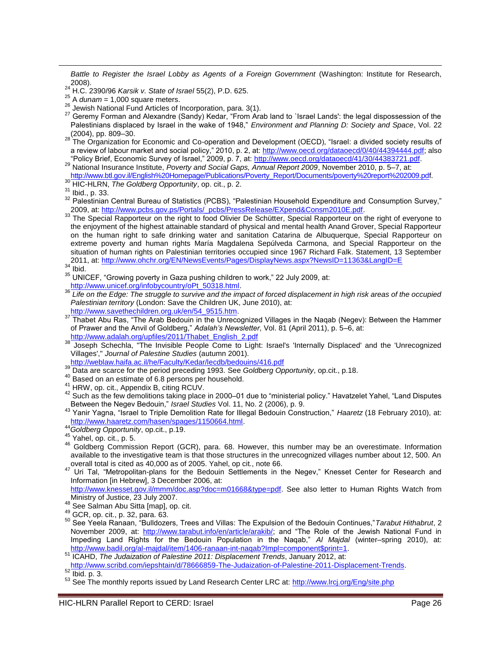*Battle to Register the Israel Lobby as Agents of a Foreign Government* (Washington: Institute for Research,  $24^{2008}$ .

Geremy Forman and Alexandre (Sandy) Kedar, "From Arab land to `Israel Lands': the legal dispossession of the Palestinians displaced by Israel in the wake of 1948," *Environment and Planning D: Society and Space*, Vol. 22  $(2004)$ , pp. 809–30.<br><sup>28</sup> The  $\Omega$ 

The Organization for Economic and Co-operation and Development (OECD), "Israel: a divided society results of a review of labour market and social policy," 2010, p. 2, at: [http://www.oecd.org/dataoecd/0/40/44394444.pdf;](http://www.oecd.org/dataoecd/0/40/44394444.pdf) also "Policy Brief, Economic Survey of Israel," 2009, p. 7, at: <http://www.oecd.org/dataoecd/41/30/44383721.pdf>.

<sup>30</sup> HIC-HLRN, *The Goldberg Opportunity*, op. cit., p. 2.

 $\overline{\phantom{a}}$ 

33 The Special Rapporteur on the right to food Olivier De Schütter, Special Rapporteur on the right of everyone to the enjoyment of the highest attainable standard of physical and mental health Anand Grover, Special Rapporteur on the human right to safe drinking water and sanitation Catarina de Albuquerque, Special Rapporteur on extreme poverty and human rights María Magdalena Sepúlveda Carmona, and Special Rapporteur on the situation of human rights on Palestinian territories occupied since 1967 Richard Falk. Statement, 13 September 2011, at:<http://www.ohchr.org/EN/NewsEvents/Pages/DisplayNews.aspx?NewsID=11363&LangID=E><br>34 Ibid 1 <sup>34</sup> Ibid.

- <sup>39</sup> Data are scarce for the period preceding 1993. See *Goldberg Opportunity*, op.cit., p.18.
- <sup>40</sup> Based on an estimate of 6.8 persons per household.
- <sup>41</sup> HRW, op. cit., Appendix B, citing RCUV.

<sup>44</sup>*Goldberg Opportunity*, op.cit., p.19.

- <sup>46</sup> Goldberg Commission Report (GCR), para. 68. However, this number may be an overestimate. Information available to the investigative team is that those structures in the unrecognized villages number about 12, 500. An overall total is cited as 40,000 as of 2005. Yahel, op cit., note 66.
- Werlain total is cried as 40,000 as of 2000. Tarrol, op car, new 2001<br><sup>47</sup> Uri Tal, "Metropolitan-plans for the Bedouin Settlements in the Negev," Knesset Center for Research and Information [in Hebrew], 3 December 2006, at:

[http://www.knesset.gov.il/mmm/doc.asp?doc=m01668&type=pdf.](http://www.knesset.gov.il/mmm/doc.asp?doc=m01668&type=pdf) See also letter to Human Rights Watch from Ministry of Justice, 23 July 2007.

50 See Yeela Ranaan, "Bulldozers, Trees and Villas: The Expulsion of the Bedouin Continues," Tarabut Hithabrut, 2 November 2009, at: [http://www.tarabut.info/en/article/arakib/;](http://www.tarabut.info/en/article/arakib/) and "The Role of the Jewish National Fund in Impeding Land Rights for the Bedouin Population in the Naqab," Al Majdal (winter–spring 2010), at: [http://www.badil.org/al-majdal/item/1406-ranaan-int-naqab?Impl=component\\$print=1.](http://www.badil.org/al-majdal/item/1406-ranaan-int-naqab?Impl=component$print=1)

<sup>24</sup> H.C. 2390/96 *Karsik v. State of Israel* 55(2), P.D. 625.

<sup>25</sup> A *dunam* = 1,000 square meters.

<sup>&</sup>lt;sup>26</sup> Jewish National Fund Articles of Incorporation, para. 3(1).<br><sup>27</sup> Cesamy Ferman and Alexandre (Sandy) Kodes "Fram Articles"

<sup>29</sup> National Insurance Institute, *Poverty and Social Gaps, Annual Report 2009*, November 2010, p. 5–7, at: [http://www.btl.gov.il/English%20Homepage/Publications/Poverty\\_Report/Documents/poverty%20report%202009.pdf](http://www.btl.gov.il/English%20Homepage/Publications/Poverty_Report/Documents/poverty%20report%202009.pdf).

<sup>31</sup> Ibid., p. 33.

<sup>32</sup> Palestinian Central Bureau of Statistics (PCBS), "Palestinian Household Expenditure and Consumption Survey," 2009, at: [http://www.pcbs.gov.ps/Portals/\\_pcbs/PressRelease/EXpend&Consm2010E.pdf.](http://www.pcbs.gov.ps/Portals/_pcbs/PressRelease/EXpend&Consm2010E.pdf)

<sup>35</sup> UNICEF, "Growing poverty in Gaza pushing children to work," 22 July 2009, at:

[http://www.unicef.org/infobycountry/oPt\\_50318.html.](http://www.unicef.org/infobycountry/oPt_50318.html)<br>36 Life on the Edge: The struggle to survive and the im-<sup>36</sup> *Life on the Edge: The struggle to survive and the impact of forced displacement in high risk areas of the occupied Palestinian territory* (London: Save the Children UK, June 2010), at: [http://www.savethechildren.org.uk/en/54\\_9515.htm.](http://www.savethechildren.org.uk/en/54_9515.htm)

<sup>37</sup> Thabet Abu Ras, "The Arab Bedouin in the Unrecognized Villages in the Naqab (Negev): Between the Hammer of Prawer and the Anvil of Goldberg," *Adalah's Newsletter*, Vol. 81 (April 2011), p. 5–6, at: [http://www.adalah.org/upfiles/2011/Thabet\\_English\\_2.pdf](http://www.adalah.org/upfiles/2011/Thabet_English_2.pdf)

<sup>&</sup>lt;sup>38</sup> Joseph Schechla, "The Invisible People Come to Light: Israel's 'Internally Displaced' and the 'Unrecognized Villages'," *Journal of Palestine Studies* (autumn 2001).

<http://weblaw.haifa.ac.il/he/Faculty/Kedar/lecdb/bedouins/416.pdf>

<sup>42</sup> Such as the few demolitions taking place in 2000–01 due to "ministerial policy." Havatzelet Yahel, "Land Disputes Between the Negev Bedouin," *Israel Studies* Vol. 11, No. 2 (2006), p. 9.

<sup>43</sup> Yanir Yagna, "Israel to Triple Demolition Rate for Illegal Bedouin Construction," Haaretz (18 February 2010), at: [http://www.haaretz.com/hasen/spages/1150664.html.](http://www.haaretz.com/hasen/spages/1150664.html)

 $45$  Yahel, op. cit., p. 5.

<sup>48</sup> See Salman Abu Sitta [map], op. cit.

<sup>49</sup> GCR, op. cit., p. 32, para. 63.

<sup>51</sup> ICAHD, *The Judaization of Palestine 2011: Displacement Trends*, January 2012, at: <http://www.scribd.com/iepshtain/d/78666859-The-Judaization-of-Palestine-2011-Displacement-Trends>.

 $52$  Ibid. p. 3.

<sup>53</sup> See The monthly reports issued by Land Research Center LRC at[: http://www.lrcj.org/Eng/site.php](http://www.lrcj.org/Eng/site.php)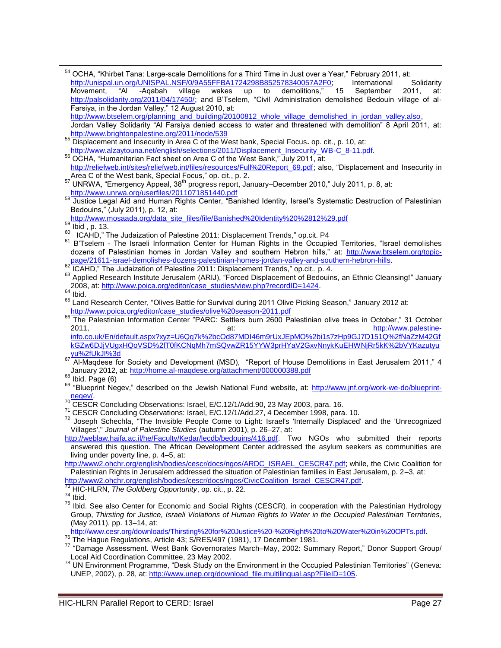54 OCHA, "Khirbet Tana: Large-scale Demolitions for a Third Time in Just over a Year," February 2011, at: [http://unispal.un.org/UNISPAL.NSF/0/9A55FFBA1724298B852578340057A2F0;](http://unispal.un.org/UNISPAL.NSF/0/9A55FFBA1724298B852578340057A2F0) International Solidarity<br>Movement, "Al -Agabah village wakes up to demolitions," 15 September 2011, at: Movement, "Al -Aqabah village wakes up to demolitions," 15 September 2011, at: [http://palsolidarity.org/2011/04/17450/;](http://palsolidarity.org/2011/04/17450/) and B'Tselem, "Civil Administration demolished Bedouin village of al-Farsiya, in the Jordan Valley," 12 August 2010, at: [http://www.btselem.org/planning\\_and\\_building/20100812\\_whole\\_village\\_demolished\\_in\\_jordan\\_valley.also](http://www.btselem.org/planning_and_building/20100812_whole_village_demolished_in_jordan_valley.also), Jordan Valley Solidarity "Al Farsiya denied access to water and threatened with demolition" 8 April 2011, at: <http://www.brightonpalestine.org/2011/node/539> <sup>55</sup> Displacement and Insecurity in Area C of the West bank, Special Focus**.** op. cit., p. 10, at: [http://www.alzaytouna.net/english/selections/2011/Displacement\\_Insecurity\\_WB-C\\_8-11.pdf](http://www.alzaytouna.net/english/selections/2011/Displacement_Insecurity_WB-C_8-11.pdf).<br>56 OCHA "Himppitation Fact" is a state of the security WB-C\_8-11.pdf. OCHA, "Humanitarian Fact sheet on Area C of the West Bank," July 2011, at: [http://reliefweb.int/sites/reliefweb.int/files/resources/Full%20Report\\_69.pdf](http://reliefweb.int/sites/reliefweb.int/files/resources/Full%20Report_69.pdf); also, "Displacement and Insecurity in Area C of the West bank, Special Focus," op. cit., p. 2.  $57$  UNRWA, "Emergency Appeal, 38<sup>th</sup> progress report, January–December 2010," July 2011, p. 8, at: <http://www.unrwa.org/userfiles/2011071851440.pdf> <sup>58</sup> Justice Legal Aid and Human Rights Center, "Banished Identity, Israel's Systematic Destruction of Palestinian Bedouins," (July 2011), p. 12, at: [http://www.mosaada.org/data\\_site\\_files/file/Banished%20Identity%20%2812%29.pdf](http://www.mosaada.org/data_site_files/file/Banished%20Identity%20%2812%29.pdf) <sup>59</sup> Ibid , p. 13. 60 ICAHD," The Judaization of Palestine 2011: Displacement Trends," op.cit. P4 61 B'Tselem - The Israeli Information Center for Human Rights in the Occupied Territories, "Israel demolishes dozens of Palestinian homes in Jordan Valley and southern Hebron hills," at: [http://www.btselem.org/topic](http://www.btselem.org/topic-page/21611-israel-demolishes-dozens-palestinian-homes-jordan-valley-and-southern-hebron-hills)[page/21611-israel-demolishes-dozens-palestinian-homes-jordan-valley-and-southern-hebron-hills](http://www.btselem.org/topic-page/21611-israel-demolishes-dozens-palestinian-homes-jordan-valley-and-southern-hebron-hills). 62 ICAHD," The Judaization of Palestine 2011: Displacement Trends," op.cit., p. 4. 63 Applied Research Institute Jerusalem (ARIJ), "Forced Displacement of Bedouins, an Ethnic Cleansing!" January 2008, at: [http://www.poica.org/editor/case\\_studies/view.php?recordID=1424.](http://www.poica.org/editor/case_studies/view.php?recordID=1424)  $64$  Ibid.

The Palestinian Information Center "PARC: Settlers burn 2600 Palestinian olive trees in October," 31 October 2011, at: at: at: [http://www.palestine](http://www.palestine-info.co.uk/En/default.aspx?xyz=U6Qq7k%2bcOd87MDI46m9rUxJEpMO%2bi1s7zHp9GJ7D151Q%2fNaZzM42GfkGZw6DJjVUgxHQoVSD%2fT0fKCNqMh7mSQvwZR15YYW3prHYaV2GxvNnykKuEHWNjRr5kK%2bVYKazutyuyu%2fUkJI%3d)[info.co.uk/En/default.aspx?xyz=U6Qq7k%2bcOd87MDI46m9rUxJEpMO%2bi1s7zHp9GJ7D151Q%2fNaZzM42Gf](http://www.palestine-info.co.uk/En/default.aspx?xyz=U6Qq7k%2bcOd87MDI46m9rUxJEpMO%2bi1s7zHp9GJ7D151Q%2fNaZzM42GfkGZw6DJjVUgxHQoVSD%2fT0fKCNqMh7mSQvwZR15YYW3prHYaV2GxvNnykKuEHWNjRr5kK%2bVYKazutyuyu%2fUkJI%3d) [kGZw6DJjVUgxHQoVSD%2fT0fKCNqMh7mSQvwZR15YYW3prHYaV2GxvNnykKuEHWNjRr5kK%2bVYKazutyu](http://www.palestine-info.co.uk/En/default.aspx?xyz=U6Qq7k%2bcOd87MDI46m9rUxJEpMO%2bi1s7zHp9GJ7D151Q%2fNaZzM42GfkGZw6DJjVUgxHQoVSD%2fT0fKCNqMh7mSQvwZR15YYW3prHYaV2GxvNnykKuEHWNjRr5kK%2bVYKazutyuyu%2fUkJI%3d)  $\frac{y_0 \rightarrow 2y_0 \vee 0 \vee x_0 \vee 0 \vee x_0 \vee 0 \vee x_0 \vee 0 \vee x_0 \vee 0 \vee x_0 \vee 0 \vee x_0 \vee 0 \vee x_0 \vee 0 \vee x_0 \vee 0 \vee x_0 \vee 0 \vee x_0 \vee 0 \vee x_0 \vee 0 \vee x_0 \vee x_0 \vee 0 \vee x_0 \vee x_0 \vee x_0 \vee x_0 \vee x_0 \vee x_0 \vee x_0 \vee x_0 \vee x_0 \vee x_0 \vee x$ 

Al-Magdese for Society and Development (MSD), "Report of House Demolitions in East Jerusalem 2011," 4 January 2012, at[: http://home.al-maqdese.org/attachment/000000388.pdf](http://home.al-maqdese.org/attachment/000000388.pdf)

 $68$  Ibid. Page  $(6)$ 

 $\overline{\phantom{a}}$ 

[http://www2.ohchr.org/english/bodies/cescr/docs/ngos/ARDC\\_ISRAEL\\_CESCR47.pdf;](http://www2.ohchr.org/english/bodies/cescr/docs/ngos/ARDC_ISRAEL_CESCR47.pdf) while, the Civic Coalition for Palestinian Rights in Jerusalem addressed the situation of Palestinian families in East Jerusalem, p. 2–3, at:

[http://www.cesr.org/downloads/Thirsting%20for%20Justice%20-%20Right%20to%20Water%20in%20OPTs.pdf.](http://www.cesr.org/downloads/Thirsting%20for%20Justice%20-%20Right%20to%20Water%20in%20OPTs.pdf)

<sup>76</sup> The Hague Regulations, Article 43; S/RES/497 (1981), 17 December 1981.

 $78$  UN Environment Programme, "Desk Study on the Environment in the Occupied Palestinian Territories" (Geneva: UNEP, 2002), p. 28, at: [http://www.unep.org/download\\_file.multilingual.asp?FileID=105.](http://www.unep.org/download_file.multilingual.asp?FileID=105)

<sup>65</sup> Land Research Center, "Olives Battle for Survival during 2011 Olive Picking Season," January 2012 at: [http://www.poica.org/editor/case\\_studies/olive%20season-2011.pdf](http://www.poica.org/editor/case_studies/olive%20season-2011.pdf)

<sup>69 &</sup>quot;Blueprint Negev," described on the Jewish National Fund website, at: [http://www.jnf.org/work-we-do/blueprint](http://www.jnf.org/work-we-do/blueprint-negev/)[negev/.](http://www.jnf.org/work-we-do/blueprint-negev/)

<sup>&</sup>lt;sup>70</sup> CESCR Concluding Observations: Israel, E/C.12/1/Add.90, 23 May 2003, para. 16.

<sup>71</sup> CESCR Concluding Observations: Israel, E/C.12/1/Add.27, 4 December 1998, para. 10.

<sup>&</sup>lt;sup>72</sup> Joseph Schechla, "The Invisible People Come to Light: Israel's 'Internally Displaced' and the 'Unrecognized Villages'," *Journal of Palestine Studies* (autumn 2001), p. 26–27, at:

[http://weblaw.haifa.ac.il/he/Faculty/Kedar/lecdb/bedouins/416.pdf.](http://weblaw.haifa.ac.il/he/Faculty/Kedar/lecdb/bedouins/416.pdf) Two NGOs who submitted their reports answered this question. The African Development Center addressed the asylum seekers as communities are living under poverty line, p. 4–5, at:

[http://www2.ohchr.org/english/bodies/cescr/docs/ngos/CivicCoalition\\_Israel\\_CESCR47.pdf.](http://www2.ohchr.org/english/bodies/cescr/docs/ngos/CivicCoalition_Israel_CESCR47.pdf)

<sup>73</sup> HIC-HLRN, *The Goldberg Opportunity*, op. cit., p. 22.

 $74$  Ibid.

<sup>75</sup> Ibid. See also Center for Economic and Social Rights (CESCR), in cooperation with the Palestinian Hydrology Group, *Thirsting for Justice, Israeli Violations of Human Rights to Water in the Occupied Palestinian Territories*, (May 2011), pp. 13–14, at:

<sup>77 &</sup>quot;Damage Assessment. West Bank Governorates March–May, 2002: Summary Report," Donor Support Group/ Local Aid Coordination Committee, 23 May 2002.